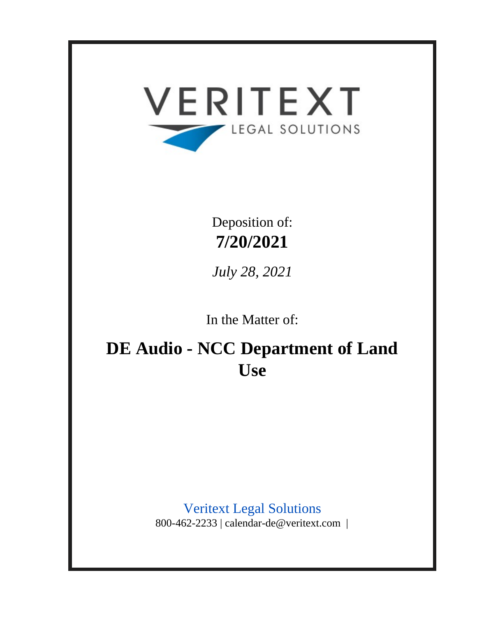

Deposition of: **7/20/2021**

*July 28, 2021*

In the Matter of:

**DE Audio - NCC Department of Land Use**

> Veritext Legal Solutions 800-462-2233 | calendar-de@veritext.com |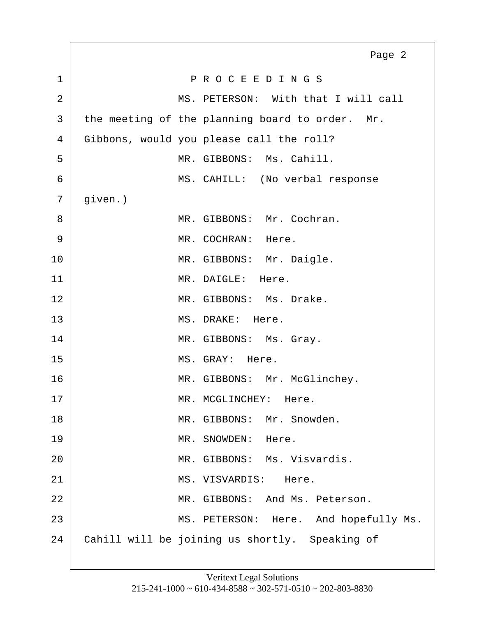<span id="page-2-0"></span>1 P R O C E E D I N G S 2 MS. PETERSON: With that I will call  $3$  the meeting of the planning board to order. Mr. 4 Gibbons, would you please call the roll? 5 MR. GIBBONS: Ms. Cahill. 6 MS. CAHILL: (No verbal response  $7 |$  given.) 8 MR. GIBBONS: Mr. Cochran. 9 | MR. COCHRAN: Here. 10 MR. GIBBONS: Mr. Daigle. 11 MR. DAIGLE: Here. 12 MR. GIBBONS: Ms. Drake. 13 MS. DRAKE: Here. 14 MR. GIBBONS: Ms. Gray. 15 MS. GRAY: Here. 16 MR. GIBBONS: Mr. McGlinchey. 17 MR. MCGLINCHEY: Here. 18 MR. GIBBONS: Mr. Snowden. 19 MR. SNOWDEN: Here. 20 MR. GIBBONS: Ms. Visvardis. 21 MS. VISVARDIS: Here. 22 MR. GIBBONS: And Ms. Peterson. 23 MS. PETERSON: Here. And hopefully Ms. 24 Cahill will be joining us shortly. Speaking of Page 2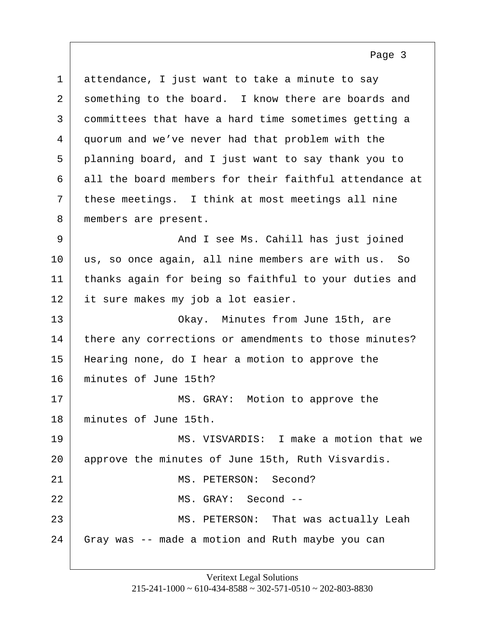<span id="page-3-0"></span>1 attendance, I just want to take a minute to say 2 something to the board. I know there are boards and committees that have a hard time sometimes getting a quorum and we've never had that problem with the planning board, and I just want to say thank you to all the board members for their faithful attendance at these meetings. I think at most meetings all nine 8 | members are present.

Page 3

9 And I see Ms. Cahill has just joined 10 us, so once again, all nine members are with us. So 11 thanks again for being so faithful to your duties and 12 it sure makes my job a lot easier.

13 Okay. Minutes from June 15th, are 14 there any corrections or amendments to those minutes? 15 Hearing none, do I hear a motion to approve the 16 minutes of June 15th?

17 MS. GRAY: Motion to approve the 18 minutes of June 15th.

19 MS. VISVARDIS: I make a motion that we 20 approve the minutes of June 15th, Ruth Visvardis. 21 MS. PETERSON: Second? 22 MS. GRAY: Second -- 23 MS. PETERSON: That was actually Leah 24 Gray was -- made a motion and Ruth maybe you can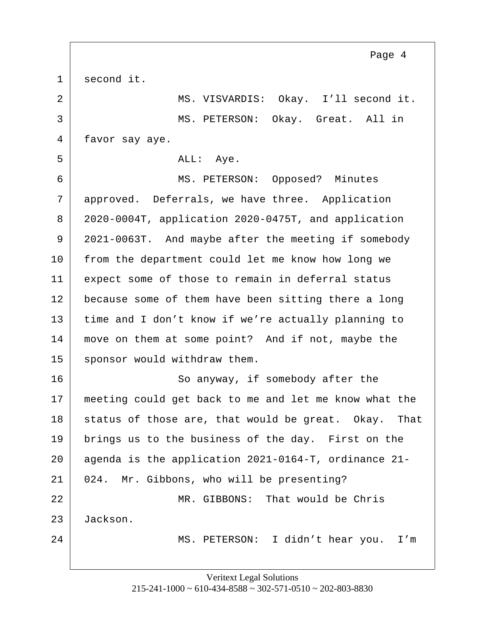<span id="page-4-0"></span>1 second it. 2 MS. VISVARDIS: Okay. I'll second it. 3 MS. PETERSON: Okay. Great. All in 4 favor say aye. 5 ALL: Aye. 6 | MS. PETERSON: Opposed? Minutes 7 approved. Deferrals, we have three. Application 8 2020-0004T, application 2020-0475T, and application 9 2021-0063T. And maybe after the meeting if somebody 10 from the department could let me know how long we 11 expect some of those to remain in deferral status 12 because some of them have been sitting there a long 13 time and I don't know if we're actually planning to 14 | move on them at some point? And if not, maybe the 15 sponsor would withdraw them. 16 So anyway, if somebody after the 17 meeting could get back to me and let me know what the 18 status of those are, that would be great. Okay. That 19 brings us to the business of the day. First on the 20 agenda is the application 2021-0164-T, ordinance 21- 21 024. Mr. Gibbons, who will be presenting? 22 MR. GIBBONS: That would be Chris 23 Jackson. 24 | MS. PETERSON: I didn't hear you. I'm Page 4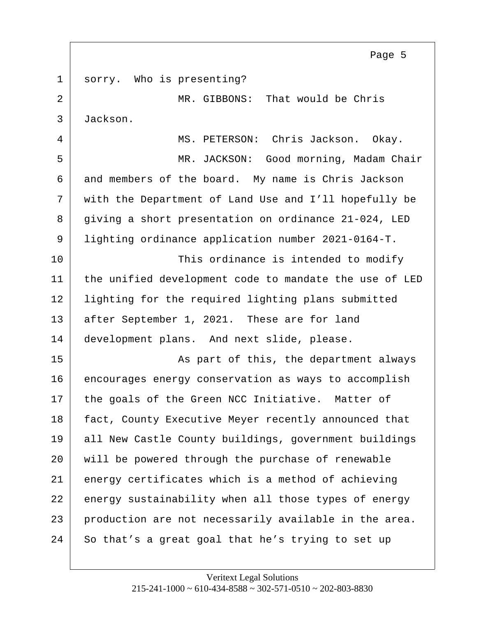<span id="page-5-0"></span>1 sorry. Who is presenting? 2 MR. GIBBONS: That would be Chris 3 Jackson. 4 MS. PETERSON: Chris Jackson. Okay. 5 MR. JACKSON: Good morning, Madam Chair 6 and members of the board. My name is Chris Jackson 7 | with the Department of Land Use and I'll hopefully be 8 giving a short presentation on ordinance 21-024, LED 9 lighting ordinance application number 2021-0164-T. 10 This ordinance is intended to modify 11 the unified development code to mandate the use of LED 12 lighting for the required lighting plans submitted 13 after September 1, 2021. These are for land 14 development plans. And next slide, please. 15 | Kas part of this, the department always 16 encourages energy conservation as ways to accomplish 17 the goals of the Green NCC Initiative. Matter of 18 fact, County Executive Meyer recently announced that 19 all New Castle County buildings, government buildings 20 will be powered through the purchase of renewable 21 energy certificates which is a method of achieving 22 energy sustainability when all those types of energy  $23$  production are not necessarily available in the area. 24 So that's a great goal that he's trying to set up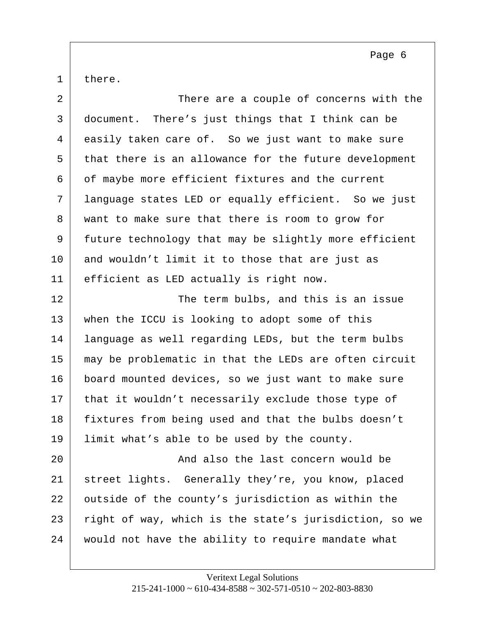<span id="page-6-0"></span>there.

| $\overline{a}$ | There are a couple of concerns with the                |
|----------------|--------------------------------------------------------|
| 3              | document. There's just things that I think can be      |
| 4              | easily taken care of. So we just want to make sure     |
| 5              | that there is an allowance for the future development  |
| 6              | of maybe more efficient fixtures and the current       |
| 7              | language states LED or equally efficient. So we just   |
| 8              | want to make sure that there is room to grow for       |
| 9              | future technology that may be slightly more efficient  |
| 10             | and wouldn't limit it to those that are just as        |
| 11             | efficient as LED actually is right now.                |
| 12             | The term bulbs, and this is an issue                   |
| 13             | when the ICCU is looking to adopt some of this         |
| 14             | language as well regarding LEDs, but the term bulbs    |
| 15             | may be problematic in that the LEDs are often circuit  |
| 16             | board mounted devices, so we just want to make sure    |
| 17             | that it wouldn't necessarily exclude those type of     |
| 18             | fixtures from being used and that the bulbs doesn't    |
| 19             | limit what's able to be used by the county.            |
| 20             | And also the last concern would be                     |
| 21             | street lights. Generally they're, you know, placed     |
| 22             | outside of the county's jurisdiction as within the     |
| 23             | right of way, which is the state's jurisdiction, so we |
| 24             | would not have the ability to require mandate what     |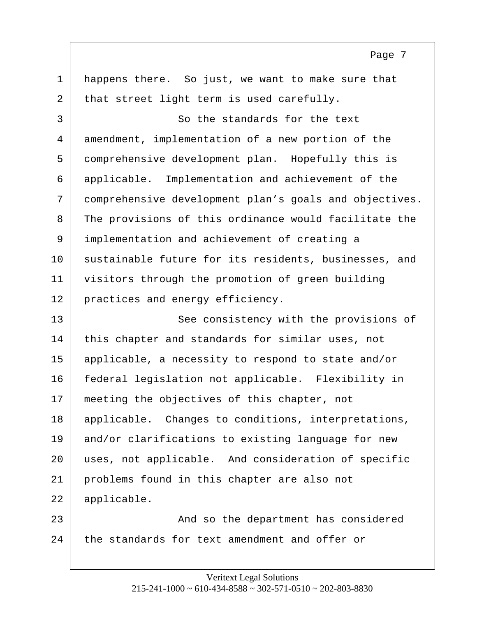<span id="page-7-0"></span>1 happens there. So just, we want to make sure that 2 that street light term is used carefully. 3 So the standards for the text 4 amendment, implementation of a new portion of the 5 comprehensive development plan. Hopefully this is 6 applicable. Implementation and achievement of the 7 comprehensive development plan's goals and objectives. 8 | The provisions of this ordinance would facilitate the 9 implementation and achievement of creating a 10 sustainable future for its residents, businesses, and 11 visitors through the promotion of green building 12 practices and energy efficiency. 13 See consistency with the provisions of 14 this chapter and standards for similar uses, not 15 applicable, a necessity to respond to state and/or 16 federal legislation not applicable. Flexibility in 17 meeting the objectives of this chapter, not 18 | applicable. Changes to conditions, interpretations, 19 and/or clarifications to existing language for new 20 uses, not applicable. And consideration of specific 21 problems found in this chapter are also not 22 applicable. 23 And so the department has considered

Page 7

24 the standards for text amendment and offer or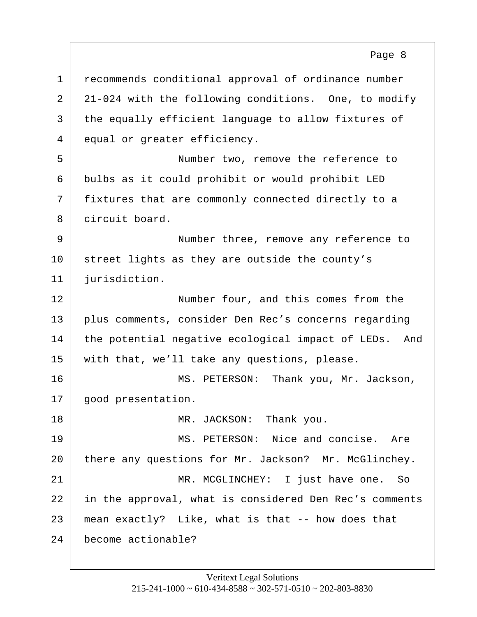<span id="page-8-0"></span>1 recommends conditional approval of ordinance number 2 21-024 with the following conditions. One, to modify 3 the equally efficient language to allow fixtures of 4 equal or greater efficiency. 5 Number two, remove the reference to 6 bulbs as it could prohibit or would prohibit LED 7 fixtures that are commonly connected directly to a 8 circuit board. 9 Number three, remove any reference to 10 street lights as they are outside the county's 11 jurisdiction. 12 | Number four, and this comes from the 13 plus comments, consider Den Rec's concerns regarding 14 the potential negative ecological impact of LEDs. And 15 | with that, we'll take any questions, please. 16 MS. PETERSON: Thank you, Mr. Jackson, 17 | good presentation. 18 MR. JACKSON: Thank you. 19 MS. PETERSON: Nice and concise. Are 20 there any questions for Mr. Jackson? Mr. McGlinchey. 21 | MR. MCGLINCHEY: I just have one. So 22 in the approval, what is considered Den Rec's comments  $23$  mean exactly? Like, what is that  $-$  how does that 24 become actionable?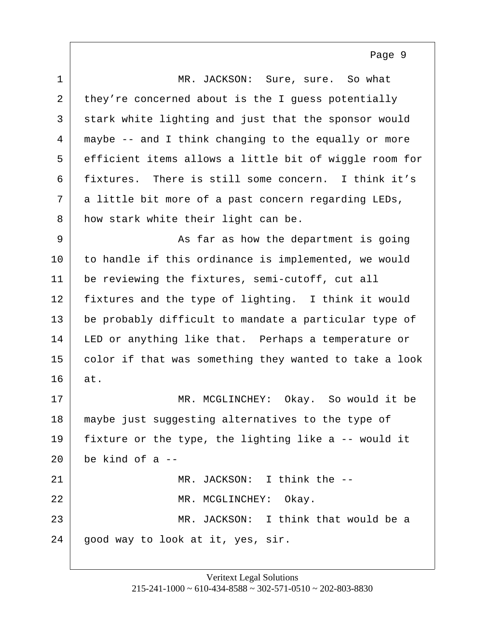<span id="page-9-0"></span>1 MR. JACKSON: Sure, sure. So what 2 they're concerned about is the I quess potentially 3 stark white lighting and just that the sponsor would 4 maybe -- and I think changing to the equally or more 5 efficient items allows a little bit of wiggle room for 6 fixtures. There is still some concern. I think it's  $7$  a little bit more of a past concern regarding LEDs, 8 how stark white their light can be. 9 | As far as how the department is going 10 to handle if this ordinance is implemented, we would 11 be reviewing the fixtures, semi-cutoff, cut all 12 fixtures and the type of lighting. I think it would 13 be probably difficult to mandate a particular type of 14 LED or anything like that. Perhaps a temperature or 15 color if that was something they wanted to take a look 16 at. 17 MR. MCGLINCHEY: Okay. So would it be 18 maybe just suggesting alternatives to the type of 19 fixture or the type, the lighting like  $a - -$  would it  $20$  be kind of a  $-$ 21 MR. JACKSON: I think the -- 22 MR. MCGLINCHEY: Okay. 23 MR. JACKSON: I think that would be a 24 good way to look at it, yes, sir.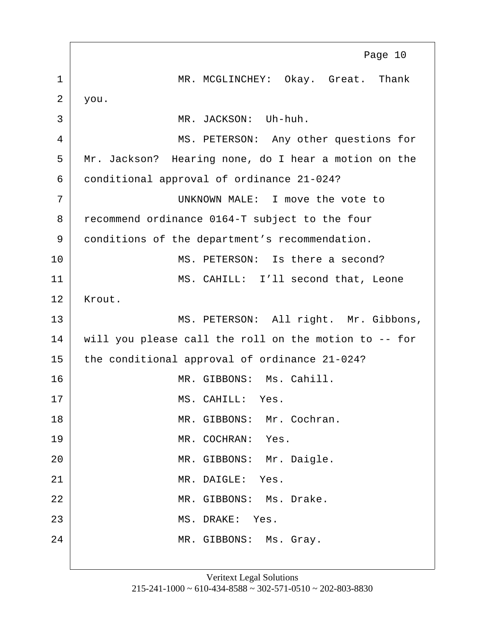<span id="page-10-0"></span>1 MR. MCGLINCHEY: Okay. Great. Thank  $2 \mid$  you. 3 MR. JACKSON: Uh-huh. 4 MS. PETERSON: Any other questions for 5 Mr. Jackson? Hearing none, do I hear a motion on the 6 conditional approval of ordinance 21-024? 7 UNKNOWN MALE: I move the vote to 8 recommend ordinance 0164-T subject to the four 9 conditions of the department's recommendation. 10 MS. PETERSON: Is there a second? 11 MS. CAHILL: I'll second that, Leone 12 | Krout. 13 MS. PETERSON: All right. Mr. Gibbons, 14 will you please call the roll on the motion to -- for 15 the conditional approval of ordinance 21-024? 16 MR. GIBBONS: Ms. Cahill. 17 MS. CAHILL: Yes. 18 MR. GIBBONS: Mr. Cochran. 19 MR. COCHRAN: Yes. 20 | MR. GIBBONS: Mr. Daigle. 21 MR. DAIGLE: Yes. 22 MR. GIBBONS: Ms. Drake. 23 MS. DRAKE: Yes. 24 MR. GIBBONS: Ms. Gray. Page 10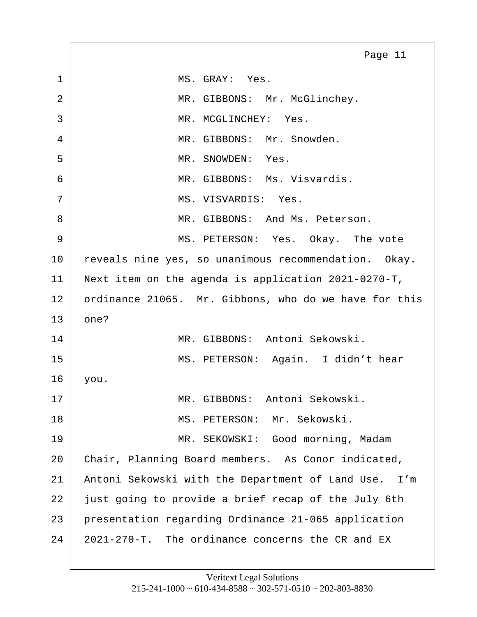<span id="page-11-0"></span>1 MS. GRAY: Yes. 2 MR. GIBBONS: Mr. McGlinchey. 3 MR. MCGLINCHEY: Yes. 4 MR. GIBBONS: Mr. Snowden. 5 MR. SNOWDEN: Yes. 6 MR. GIBBONS: Ms. Visvardis. 7 MS. VISVARDIS: Yes. 8 MR. GIBBONS: And Ms. Peterson. 9 MS. PETERSON: Yes. Okay. The vote 10 reveals nine yes, so unanimous recommendation. Okay. 11 Next item on the agenda is application 2021-0270-T, 12 ordinance 21065. Mr. Gibbons, who do we have for this  $13$  one? 14 MR. GIBBONS: Antoni Sekowski. 15 | MS. PETERSON: Again. I didn't hear 16 you. 17 MR. GIBBONS: Antoni Sekowski. 18 MS. PETERSON: Mr. Sekowski. 19 MR. SEKOWSKI: Good morning, Madam 20 Chair, Planning Board members. As Conor indicated, 21 Antoni Sekowski with the Department of Land Use. I'm 22 just going to provide a brief recap of the July 6th 23 presentation regarding Ordinance 21-065 application 24 2021-270-T. The ordinance concerns the CR and EX Page 11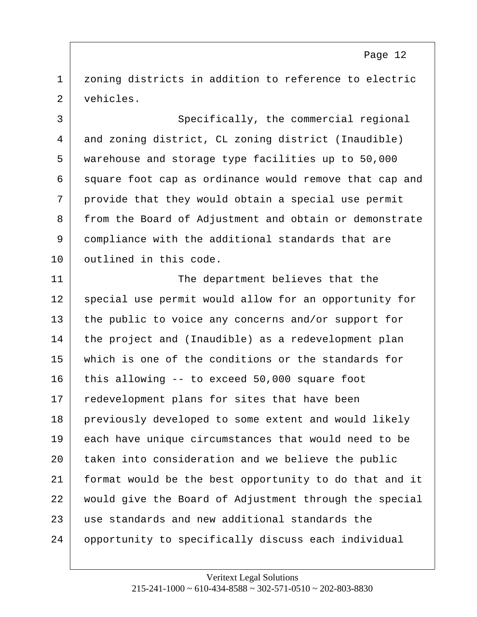<span id="page-12-0"></span>1 | zoning districts in addition to reference to electric 2 vehicles.

3 Specifically, the commercial regional 4 and zoning district, CL zoning district (Inaudible) 5 warehouse and storage type facilities up to 50,000 6 square foot cap as ordinance would remove that cap and  $7$  provide that they would obtain a special use permit 8 from the Board of Adjustment and obtain or demonstrate 9 compliance with the additional standards that are 10 outlined in this code.

11 The department believes that the 12 | special use permit would allow for an opportunity for 13 the public to voice any concerns and/or support for 14 the project and (Inaudible) as a redevelopment plan 15 which is one of the conditions or the standards for 16 this allowing -- to exceed 50,000 square foot 17 redevelopment plans for sites that have been 18 previously developed to some extent and would likely 19 each have unique circumstances that would need to be 20 taken into consideration and we believe the public 21 format would be the best opportunity to do that and it 22 would give the Board of Adjustment through the special 23 use standards and new additional standards the 24 opportunity to specifically discuss each individual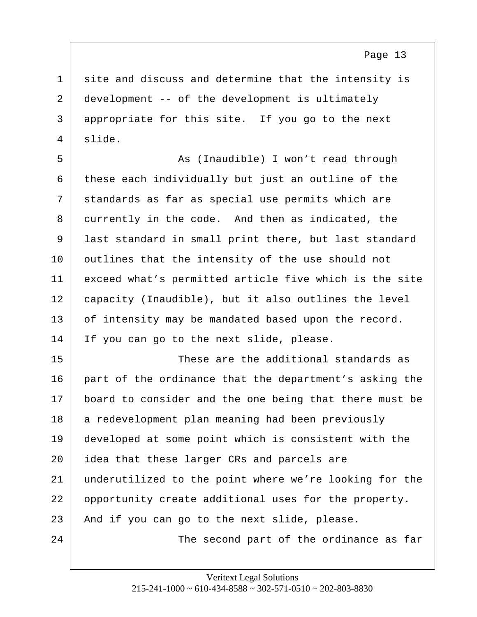<span id="page-13-0"></span>1 site and discuss and determine that the intensity is 2 development -- of the development is ultimately 3 appropriate for this site. If you go to the next 4 slide.

5 | Kas (Inaudible) I won't read through  $6$  these each individually but just an outline of the 7 standards as far as special use permits which are 8 | currently in the code. And then as indicated, the 9 last standard in small print there, but last standard 10 | outlines that the intensity of the use should not 11 exceed what's permitted article five which is the site 12 capacity (Inaudible), but it also outlines the level 13 of intensity may be mandated based upon the record. 14 If you can go to the next slide, please.

15 These are the additional standards as 16 part of the ordinance that the department's asking the 17 board to consider and the one being that there must be 18 a redevelopment plan meaning had been previously 19 developed at some point which is consistent with the 20 idea that these larger CRs and parcels are 21 underutilized to the point where we're looking for the 22 opportunity create additional uses for the property.  $23$  And if you can go to the next slide, please. 24 The second part of the ordinance as far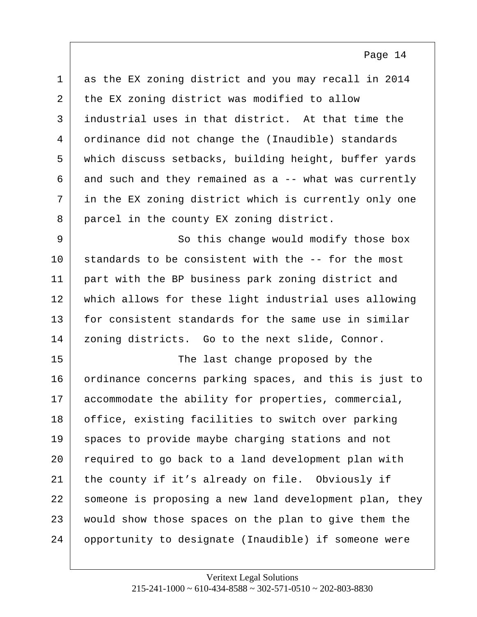<span id="page-14-0"></span>

| $\mathbf 1$  | as the EX zoning district and you may recall in 2014   |
|--------------|--------------------------------------------------------|
| 2            | the EX zoning district was modified to allow           |
| $\mathsf{3}$ | industrial uses in that district. At that time the     |
| 4            | ordinance did not change the (Inaudible) standards     |
| 5            | which discuss setbacks, building height, buffer yards  |
| 6            | and such and they remained as a -- what was currently  |
| 7            | in the EX zoning district which is currently only one  |
| 8            | parcel in the county EX zoning district.               |
| 9            | So this change would modify those box                  |
| 10           | standards to be consistent with the -- for the most    |
| 11           | part with the BP business park zoning district and     |
| 12           | which allows for these light industrial uses allowing  |
| 13           | for consistent standards for the same use in similar   |
| 14           | zoning districts. Go to the next slide, Connor.        |
| 15           | The last change proposed by the                        |
| 16           | ordinance concerns parking spaces, and this is just to |
| 17           | accommodate the ability for properties, commercial,    |
| 18           | office, existing facilities to switch over parking     |
| 19           | spaces to provide maybe charging stations and not      |
| 20           | required to go back to a land development plan with    |
| 21           | the county if it's already on file. Obviously if       |
| 22           | someone is proposing a new land development plan, they |
| 23           | would show those spaces on the plan to give them the   |
| 24           | opportunity to designate (Inaudible) if someone were   |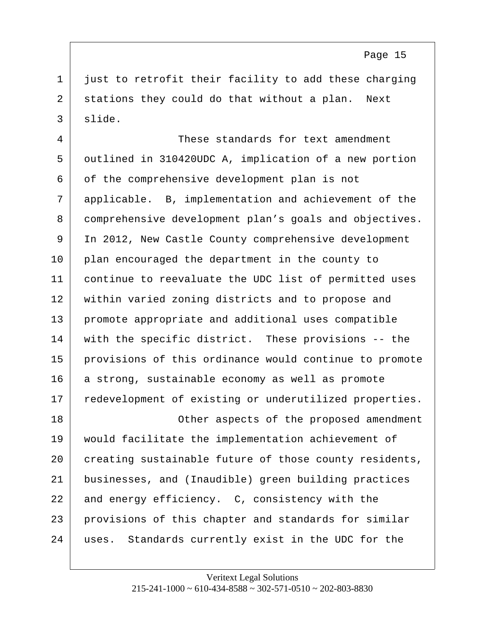<span id="page-15-0"></span> $1$  just to retrofit their facility to add these charging 2 stations they could do that without a plan. Next 3 slide.

4 These standards for text amendment 5 outlined in 310420UDC A, implication of a new portion 6 of the comprehensive development plan is not 7 applicable. B, implementation and achievement of the 8 comprehensive development plan's goals and objectives. 9 In 2012, New Castle County comprehensive development 10 | plan encouraged the department in the county to 11 continue to reevaluate the UDC list of permitted uses 12 within varied zoning districts and to propose and 13 promote appropriate and additional uses compatible 14 with the specific district. These provisions -- the 15 provisions of this ordinance would continue to promote 16 a strong, sustainable economy as well as promote 17 redevelopment of existing or underutilized properties. 18 | Communist Communist Communist Communist Communist Communist Communist Communist Communist Communist Communist Communist Communist Communist Communist Communist Communist Communist Communist Communist Communist Communi

 would facilitate the implementation achievement of 20 creating sustainable future of those county residents, businesses, and (Inaudible) green building practices 22 and energy efficiency. C, consistency with the provisions of this chapter and standards for similar uses. Standards currently exist in the UDC for the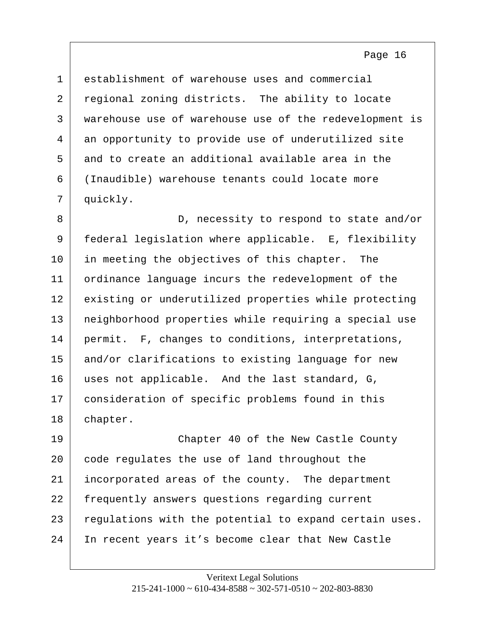<span id="page-16-0"></span> establishment of warehouse uses and commercial 2 regional zoning districts. The ability to locate warehouse use of warehouse use of the redevelopment is an opportunity to provide use of underutilized site and to create an additional available area in the (Inaudible) warehouse tenants could locate more 7 | quickly.

8 D, necessity to respond to state and/or 9 federal legislation where applicable. E, flexibility 10 in meeting the objectives of this chapter. The 11 ordinance language incurs the redevelopment of the 12 existing or underutilized properties while protecting 13 neighborhood properties while requiring a special use 14 permit. F, changes to conditions, interpretations, 15 and/or clarifications to existing language for new 16 uses not applicable. And the last standard, G, 17 consideration of specific problems found in this 18 chapter.

19 Chapter 40 of the New Castle County 20 code regulates the use of land throughout the 21 incorporated areas of the county. The department 22 frequently answers questions regarding current 23 regulations with the potential to expand certain uses. 24 In recent years it's become clear that New Castle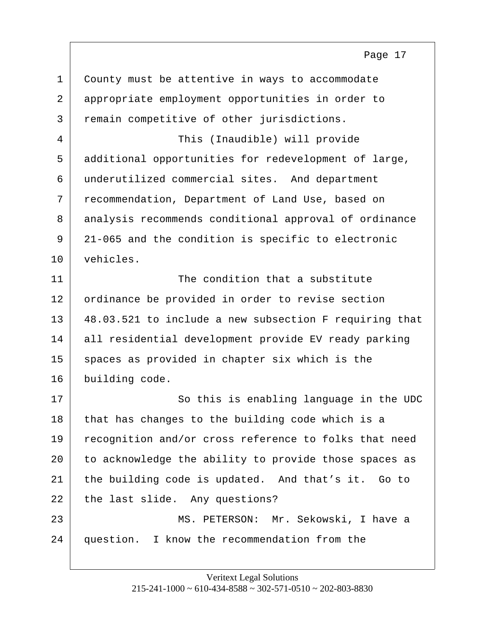<span id="page-17-0"></span>

| $\mathbf 1$ | County must be attentive in ways to accommodate        |
|-------------|--------------------------------------------------------|
| 2           | appropriate employment opportunities in order to       |
| 3           | remain competitive of other jurisdictions.             |
| 4           | This (Inaudible) will provide                          |
| 5           | additional opportunities for redevelopment of large,   |
| 6           | underutilized commercial sites. And department         |
| 7           | recommendation, Department of Land Use, based on       |
| 8           | analysis recommends conditional approval of ordinance  |
| 9           | 21-065 and the condition is specific to electronic     |
| 10          | vehicles.                                              |
| 11          | The condition that a substitute                        |
| 12          | ordinance be provided in order to revise section       |
| 13          | 48.03.521 to include a new subsection F requiring that |
| 14          | all residential development provide EV ready parking   |
| 15          | spaces as provided in chapter six which is the         |
| 16          | building code.                                         |
| 17          | So this is enabling language in the UDC                |
| 18          | that has changes to the building code which is a       |
| 19          | recognition and/or cross reference to folks that need  |
| 20          | to acknowledge the ability to provide those spaces as  |
| 21          | the building code is updated. And that's it. Go to     |
| 22          | the last slide. Any questions?                         |
| 23          | MS. PETERSON: Mr. Sekowski, I have a                   |
| 24          | question. I know the recommendation from the           |
|             |                                                        |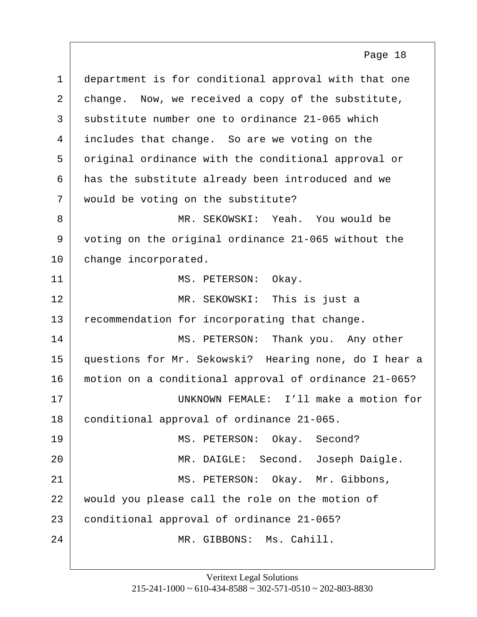<span id="page-18-0"></span>1 department is for conditional approval with that one 2 change. Now, we received a copy of the substitute,  $3$  substitute number one to ordinance 21-065 which 4 includes that change. So are we voting on the 5 original ordinance with the conditional approval or 6 has the substitute already been introduced and we 7 would be voting on the substitute? 8 MR. SEKOWSKI: Yeah. You would be 9 voting on the original ordinance 21-065 without the 10 change incorporated. 11 MS. PETERSON: Okay. 12 MR. SEKOWSKI: This is just a 13 recommendation for incorporating that change. 14 MS. PETERSON: Thank you. Any other 15 questions for Mr. Sekowski? Hearing none, do I hear a 16 motion on a conditional approval of ordinance 21-065? 17 UNKNOWN FEMALE: I'll make a motion for 18 conditional approval of ordinance 21-065. 19 MS. PETERSON: Okay. Second? 20 | MR. DAIGLE: Second. Joseph Daigle. 21 | MS. PETERSON: Okay. Mr. Gibbons, 22 would you please call the role on the motion of 23 conditional approval of ordinance 21-065? 24 MR. GIBBONS: Ms. Cahill.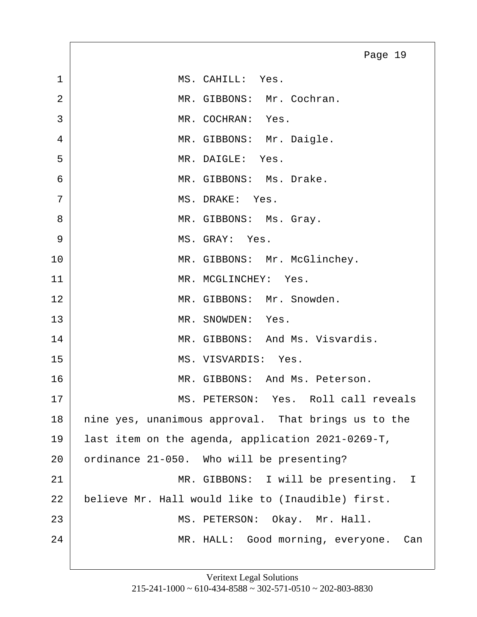<span id="page-19-0"></span>1 MS. CAHILL: Yes. 2 MR. GIBBONS: Mr. Cochran. 3 MR. COCHRAN: Yes. 4 MR. GIBBONS: Mr. Daigle. 5 MR. DAIGLE: Yes. 6 MR. GIBBONS: Ms. Drake. 7 MS. DRAKE: Yes. 8 MR. GIBBONS: Ms. Gray. 9 | MS. GRAY: Yes. 10 MR. GIBBONS: Mr. McGlinchey. 11 MR. MCGLINCHEY: Yes. 12 MR. GIBBONS: Mr. Snowden. 13 MR. SNOWDEN: Yes. 14 MR. GIBBONS: And Ms. Visvardis. 15 MS. VISVARDIS: Yes. 16 MR. GIBBONS: And Ms. Peterson. 17 MS. PETERSON: Yes. Roll call reveals 18 | nine yes, unanimous approval. That brings us to the 19 last item on the agenda, application 2021-0269-T, 20 ordinance 21-050. Who will be presenting? 21 | MR. GIBBONS: I will be presenting. I 22 believe Mr. Hall would like to (Inaudible) first. 23 | MS. PETERSON: Okay. Mr. Hall. 24 | MR. HALL: Good morning, everyone. Can Page 19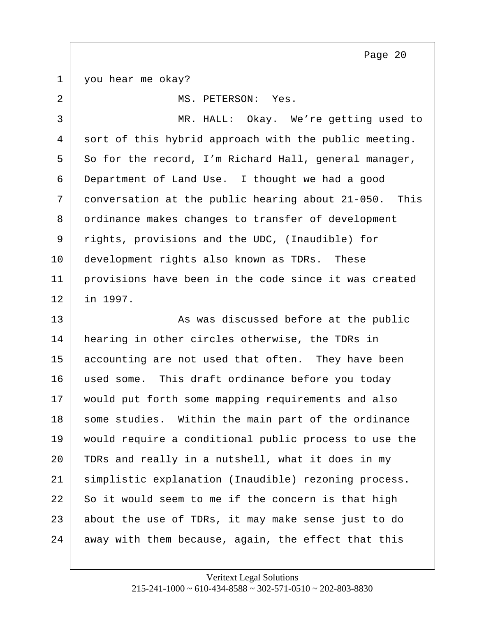<span id="page-20-0"></span>1 you hear me okay?

2 MS. PETERSON: Yes. 3 MR. HALL: Okay. We're getting used to 4 sort of this hybrid approach with the public meeting.  $5$  So for the record, I'm Richard Hall, general manager, 6 Department of Land Use. I thought we had a good 7 conversation at the public hearing about 21-050. This 8 ordinance makes changes to transfer of development 9 rights, provisions and the UDC, (Inaudible) for 10 development rights also known as TDRs. These 11 provisions have been in the code since it was created 12 in 1997. 13 As was discussed before at the public 14 hearing in other circles otherwise, the TDRs in 15 accounting are not used that often. They have been 16 used some. This draft ordinance before you today 17 would put forth some mapping requirements and also 18 some studies. Within the main part of the ordinance 19 would require a conditional public process to use the 20 TDRs and really in a nutshell, what it does in my 21 simplistic explanation (Inaudible) rezoning process.  $22$  So it would seem to me if the concern is that high  $23$  about the use of TDRs, it may make sense just to do  $24$  away with them because, again, the effect that this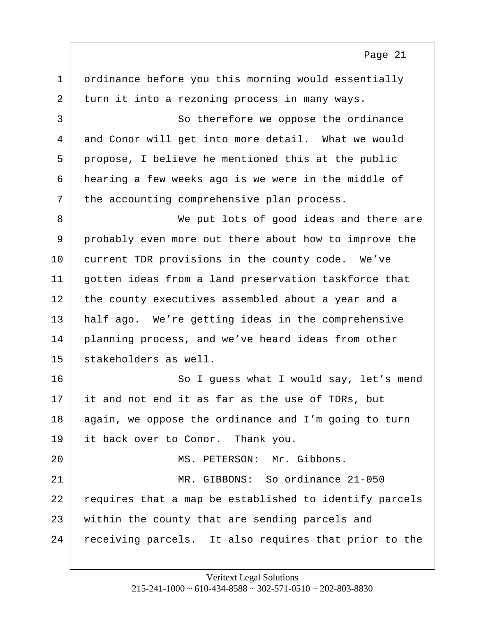<span id="page-21-0"></span>1 ordinance before you this morning would essentially  $2$  turn it into a rezoning process in many ways. 3 So therefore we oppose the ordinance 4 and Conor will get into more detail. What we would 5 propose, I believe he mentioned this at the public 6 hearing a few weeks ago is we were in the middle of  $7$  the accounting comprehensive plan process. 8 We put lots of good ideas and there are 9 probably even more out there about how to improve the 10 current TDR provisions in the county code. We've 11 gotten ideas from a land preservation taskforce that 12 | the county executives assembled about a year and a 13 half ago. We're getting ideas in the comprehensive 14 planning process, and we've heard ideas from other 15 stakeholders as well. 16 So I guess what I would say, let's mend  $17$  it and not end it as far as the use of TDRs, but 18 again, we oppose the ordinance and I'm going to turn 19 it back over to Conor. Thank you. 20 MS. PETERSON: Mr. Gibbons. 21 | MR. GIBBONS: So ordinance 21-050 22 requires that a map be established to identify parcels 23 within the county that are sending parcels and 24 receiving parcels. It also requires that prior to the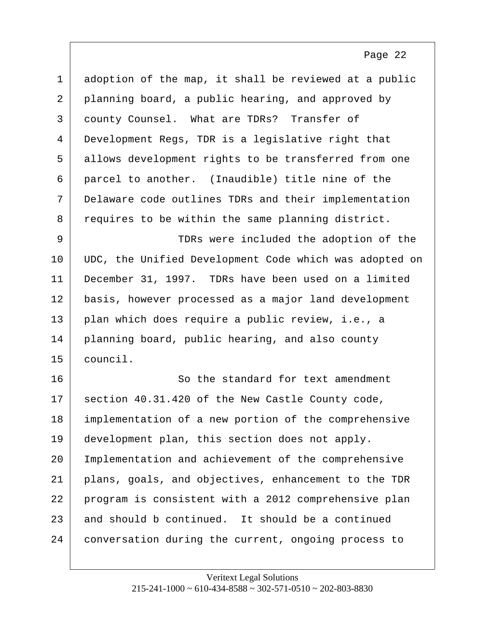<span id="page-22-0"></span>

| $\mathbf{1}$ | adoption of the map, it shall be reviewed at a public  |
|--------------|--------------------------------------------------------|
| 2            | planning board, a public hearing, and approved by      |
| 3            | county Counsel. What are TDRs? Transfer of             |
| 4            | Development Regs, TDR is a legislative right that      |
| 5            | allows development rights to be transferred from one   |
| 6            | parcel to another. (Inaudible) title nine of the       |
| 7            | Delaware code outlines TDRs and their implementation   |
| 8            | requires to be within the same planning district.      |
| 9            | TDRs were included the adoption of the                 |
| 10           | UDC, the Unified Development Code which was adopted on |
| 11           | December 31, 1997. TDRs have been used on a limited    |
| 12           | basis, however processed as a major land development   |
| 13           | plan which does require a public review, i.e., a       |
| 14           | planning board, public hearing, and also county        |
| 15           | council.                                               |
| 16           | So the standard for text amendment                     |
| 17           | section 40.31.420 of the New Castle County code,       |
| 18           | implementation of a new portion of the comprehensive   |
| 19           | development plan, this section does not apply.         |
| 20           | Implementation and achievement of the comprehensive    |
| 21           | plans, goals, and objectives, enhancement to the TDR   |
| 22           | program is consistent with a 2012 comprehensive plan   |
| 23           | and should b continued. It should be a continued       |
| 24           | conversation during the current, ongoing process to    |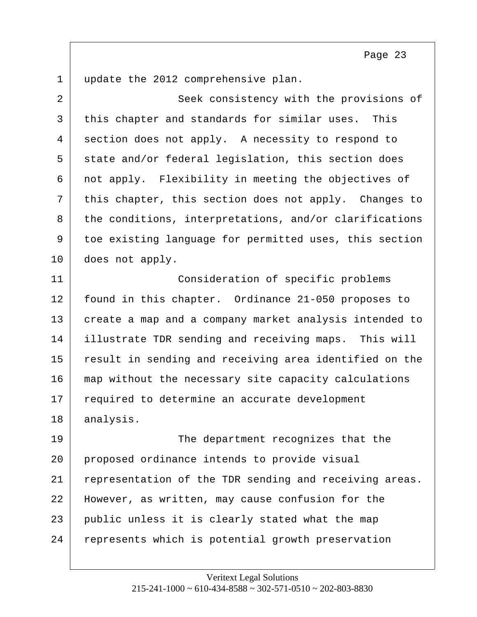<span id="page-23-0"></span>1 update the 2012 comprehensive plan.

2 Seek consistency with the provisions of 3 this chapter and standards for similar uses. This 4 section does not apply. A necessity to respond to 5 state and/or federal legislation, this section does  $6$  not apply. Flexibility in meeting the objectives of 7 this chapter, this section does not apply. Changes to 8 the conditions, interpretations, and/or clarifications 9 toe existing language for permitted uses, this section 10 does not apply. 11 Consideration of specific problems 12 | found in this chapter. Ordinance 21-050 proposes to 13 create a map and a company market analysis intended to 14 illustrate TDR sending and receiving maps. This will 15 result in sending and receiving area identified on the 16 map without the necessary site capacity calculations 17 required to determine an accurate development 18 analysis. 19 The department recognizes that the 20 proposed ordinance intends to provide visual 21 representation of the TDR sending and receiving areas. 22 However, as written, may cause confusion for the 23 public unless it is clearly stated what the map 24 represents which is potential growth preservation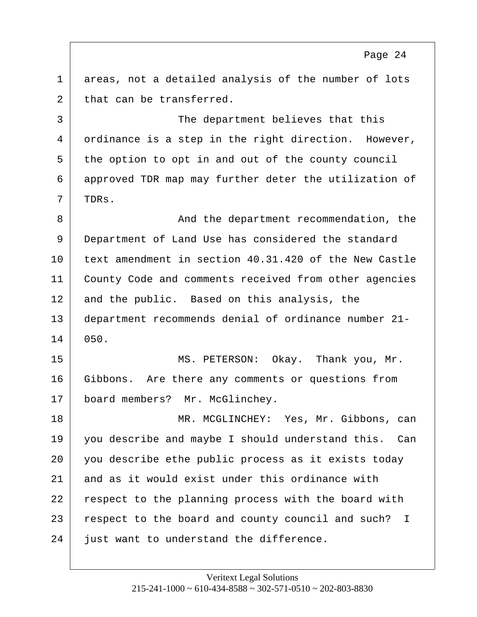<span id="page-24-0"></span>1 areas, not a detailed analysis of the number of lots 2 that can be transferred.

3 The department believes that this 4 ordinance is a step in the right direction. However, 5 the option to opt in and out of the county council 6 approved TDR map may further deter the utilization of 7 TDRs.

8 **And the department recommendation, the** 9 Department of Land Use has considered the standard 10 text amendment in section 40.31.420 of the New Castle 11 | County Code and comments received from other agencies 12 and the public. Based on this analysis, the 13 department recommends denial of ordinance number 21- 14 050.

15 MS. PETERSON: Okay. Thank you, Mr. 16 Gibbons. Are there any comments or questions from 17 board members? Mr. McGlinchey.

18 MR. MCGLINCHEY: Yes, Mr. Gibbons, can 19 you describe and maybe I should understand this. Can 20 you describe ethe public process as it exists today 21 and as it would exist under this ordinance with 22 | respect to the planning process with the board with 23 respect to the board and county council and such? I 24 just want to understand the difference.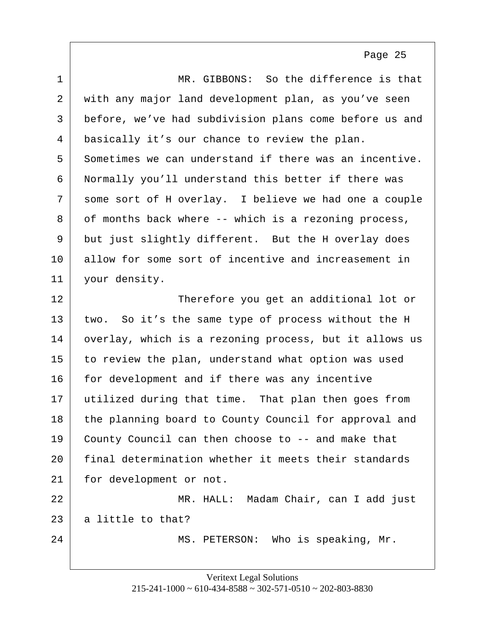<span id="page-25-0"></span>

| $\mathbf{1}$ | MR. GIBBONS: So the difference is that                 |
|--------------|--------------------------------------------------------|
| 2            | with any major land development plan, as you've seen   |
| 3            | before, we've had subdivision plans come before us and |
| 4            | basically it's our chance to review the plan.          |
| 5            | Sometimes we can understand if there was an incentive. |
| 6            | Normally you'll understand this better if there was    |
| 7            | some sort of H overlay. I believe we had one a couple  |
| 8            | of months back where -- which is a rezoning process,   |
| 9            | but just slightly different. But the H overlay does    |
| 10           | allow for some sort of incentive and increasement in   |
| 11           | your density.                                          |
| 12           | Therefore you get an additional lot or                 |
| 13           | two. So it's the same type of process without the H    |
| 14           | overlay, which is a rezoning process, but it allows us |
| 15           | to review the plan, understand what option was used    |
| 16           | for development and if there was any incentive         |
| 17           | utilized during that time. That plan then goes from    |
| 18           | the planning board to County Council for approval and  |
| 19           | County Council can then choose to -- and make that     |
| 20           | final determination whether it meets their standards   |
| 21           | for development or not.                                |
| 22           | MR. HALL: Madam Chair, can I add just                  |
| 23           | a little to that?                                      |
| 24           | MS. PETERSON: Who is speaking, Mr.                     |
|              |                                                        |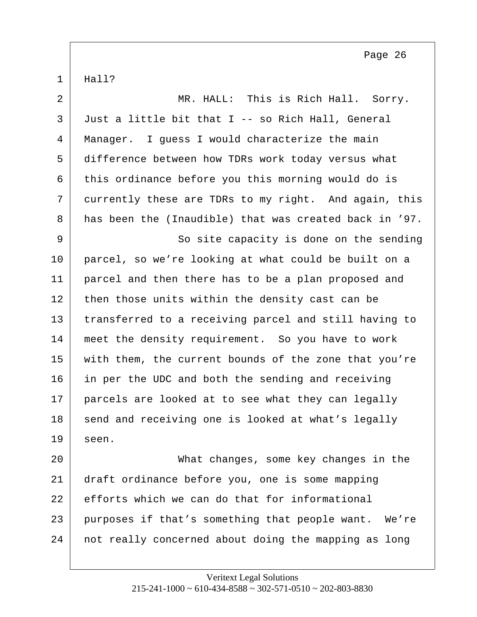<span id="page-26-0"></span> $1 \mid$  Hall?

2 MR. HALL: This is Rich Hall. Sorry.  $3$  Just a little bit that I -- so Rich Hall, General 4 Manager. I guess I would characterize the main 5 difference between how TDRs work today versus what  $6$  this ordinance before you this morning would do is 7 currently these are TDRs to my right. And again, this 8 has been the (Inaudible) that was created back in '97. 9 So site capacity is done on the sending 10 parcel, so we're looking at what could be built on a 11 parcel and then there has to be a plan proposed and 12 then those units within the density cast can be 13 transferred to a receiving parcel and still having to 14 meet the density requirement. So you have to work 15 with them, the current bounds of the zone that you're 16 in per the UDC and both the sending and receiving 17 parcels are looked at to see what they can legally 18 send and receiving one is looked at what's legally  $19$  seen. 20 What changes, some key changes in the 21 draft ordinance before you, one is some mapping 22 efforts which we can do that for informational 23 purposes if that's something that people want. We're 24 | not really concerned about doing the mapping as long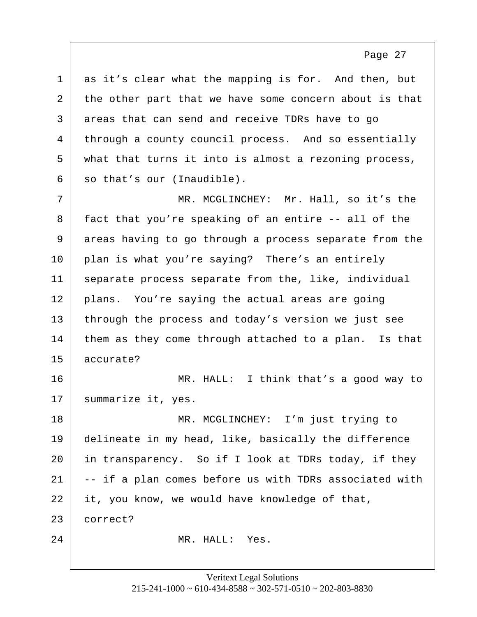<span id="page-27-0"></span>

| $\mathbf 1$ | as it's clear what the mapping is for. And then, but   |
|-------------|--------------------------------------------------------|
| 2           | the other part that we have some concern about is that |
| 3           | areas that can send and receive TDRs have to go        |
| 4           | through a county council process. And so essentially   |
| 5           | what that turns it into is almost a rezoning process,  |
| 6           | so that's our (Inaudible).                             |
| 7           | MR. MCGLINCHEY: Mr. Hall, so it's the                  |
| 8           | fact that you're speaking of an entire -- all of the   |
| 9           | areas having to go through a process separate from the |
| 10          | plan is what you're saying? There's an entirely        |
| 11          | separate process separate from the, like, individual   |
| 12          | plans. You're saying the actual areas are going        |
| 13          | through the process and today's version we just see    |
| 14          | them as they come through attached to a plan. Is that  |
| 15          | accurate?                                              |
| 16          | MR. HALL: I think that's a good way to                 |
| 17          | summarize it, yes.                                     |
| 18          | MR. MCGLINCHEY: I'm just trying to                     |
| 19          | delineate in my head, like, basically the difference   |
| 20          | in transparency. So if I look at TDRs today, if they   |
| 21          | -- if a plan comes before us with TDRs associated with |
| 22          | it, you know, we would have knowledge of that,         |
| 23          | correct?                                               |
| 24          | MR. HALL: Yes.                                         |
|             |                                                        |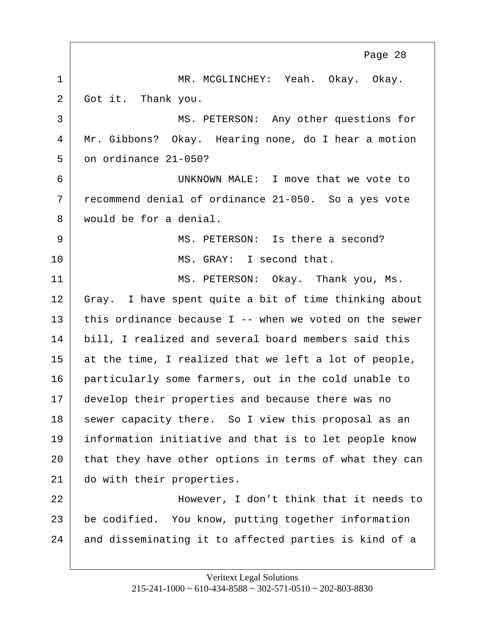<span id="page-28-0"></span>1 MR. MCGLINCHEY: Yeah. Okay. Okay. 2 Got it. Thank you. 3 MS. PETERSON: Any other questions for 4 Mr. Gibbons? Okay. Hearing none, do I hear a motion  $5$  on ordinance 21-050? 6 UNKNOWN MALE: I move that we vote to 7 recommend denial of ordinance 21-050. So a yes vote 8 would be for a denial. 9 MS. PETERSON: Is there a second? 10 MS. GRAY: I second that. 11 MS. PETERSON: Okay. Thank you, Ms. 12 Gray. I have spent quite a bit of time thinking about 13 this ordinance because I -- when we voted on the sewer 14 bill, I realized and several board members said this  $15$  at the time, I realized that we left a lot of people, 16 particularly some farmers, out in the cold unable to 17 develop their properties and because there was no 18 sewer capacity there. So I view this proposal as an 19 information initiative and that is to let people know 20 that they have other options in terms of what they can 21 do with their properties. 22 However, I don't think that it needs to 23 be codified. You know, putting together information 24 and disseminating it to affected parties is kind of a Page 28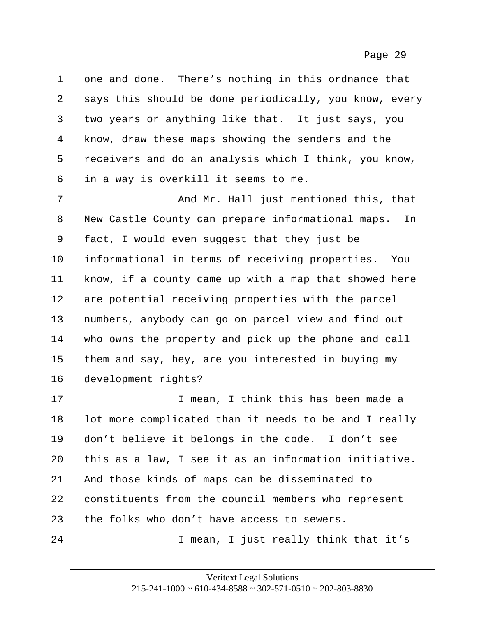<span id="page-29-0"></span>

| $\mathbf{1}$   | one and done. There's nothing in this ordnance that     |
|----------------|---------------------------------------------------------|
| $\overline{a}$ | says this should be done periodically, you know, every  |
| 3              | two years or anything like that. It just says, you      |
| 4              | know, draw these maps showing the senders and the       |
| 5              | receivers and do an analysis which I think, you know,   |
| 6              | in a way is overkill it seems to me.                    |
| 7              | And Mr. Hall just mentioned this, that                  |
| 8              | New Castle County can prepare informational maps.<br>In |
| 9              | fact, I would even suggest that they just be            |
| 10             | informational in terms of receiving properties. You     |
| 11             | know, if a county came up with a map that showed here   |
| 12             | are potential receiving properties with the parcel      |
| 13             | numbers, anybody can go on parcel view and find out     |
| 14             | who owns the property and pick up the phone and call    |
| 15             | them and say, hey, are you interested in buying my      |
| 16             | development rights?                                     |
| 17             | I mean, I think this has been made a                    |
| 18             | lot more complicated than it needs to be and I really   |
| 19             | don't believe it belongs in the code. I don't see       |
| 20             | this as a law, I see it as an information initiative.   |
| 21             | And those kinds of maps can be disseminated to          |
| 22             | constituents from the council members who represent     |
| 23             | the folks who don't have access to sewers.              |
| 24             | I mean, I just really think that it's                   |
|                |                                                         |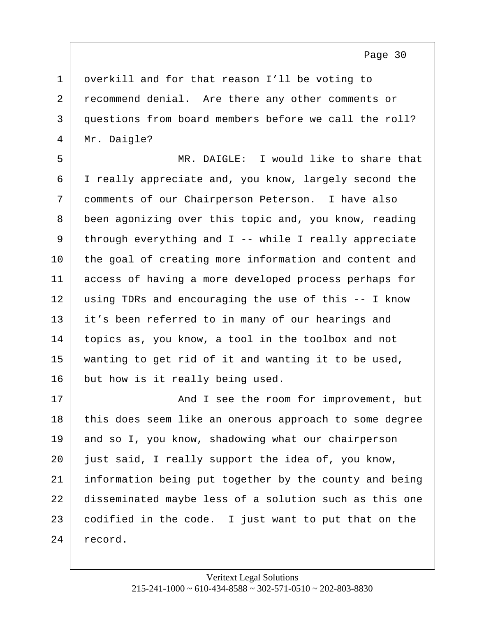<span id="page-30-0"></span>1 | overkill and for that reason I'll be voting to 2 recommend denial. Are there any other comments or 3 questions from board members before we call the roll? 4 | Mr. Daigle?

5 MR. DAIGLE: I would like to share that 6 I really appreciate and, you know, largely second the 7 comments of our Chairperson Peterson. I have also 8 been agonizing over this topic and, you know, reading 9 through everything and I -- while I really appreciate 10 the goal of creating more information and content and 11 access of having a more developed process perhaps for 12 using TDRs and encouraging the use of this -- I know 13 it's been referred to in many of our hearings and 14 topics as, you know, a tool in the toolbox and not 15 wanting to get rid of it and wanting it to be used, 16 but how is it really being used.

17 and I see the room for improvement, but 18 this does seem like an onerous approach to some degree 19 and so I, you know, shadowing what our chairperson 20 just said, I really support the idea of, you know, 21 information being put together by the county and being 22 disseminated maybe less of a solution such as this one 23 codified in the code. I just want to put that on the 24 record.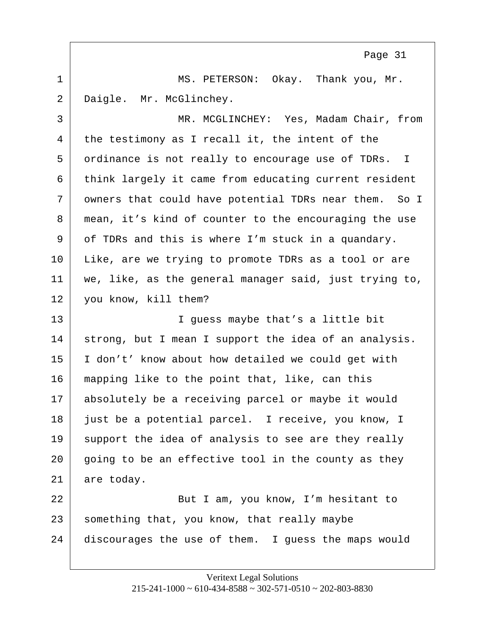<span id="page-31-0"></span>1 MS. PETERSON: Okay. Thank you, Mr. 2 Daigle. Mr. McGlinchey.

3 MR. MCGLINCHEY: Yes, Madam Chair, from  $4$  the testimony as I recall it, the intent of the 5 ordinance is not really to encourage use of TDRs. I 6 think largely it came from educating current resident 7 owners that could have potential TDRs near them. So I 8 mean, it's kind of counter to the encouraging the use 9 of TDRs and this is where I'm stuck in a quandary. 10 Like, are we trying to promote TDRs as a tool or are 11 we, like, as the general manager said, just trying to, 12 you know, kill them?

13 I guess maybe that's a little bit 14 strong, but I mean I support the idea of an analysis. 15 I don't' know about how detailed we could get with 16 mapping like to the point that, like, can this 17 absolutely be a receiving parcel or maybe it would 18 just be a potential parcel. I receive, you know, I 19 support the idea of analysis to see are they really 20 going to be an effective tool in the county as they 21 are today.

22 | Rut I am, you know, I'm hesitant to  $23$  something that, you know, that really maybe 24 discourages the use of them. I guess the maps would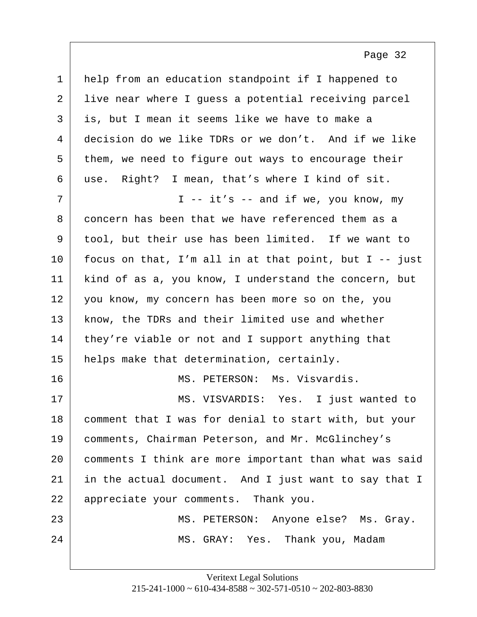<span id="page-32-0"></span>

| $\mathbf 1$  | help from an education standpoint if I happened to     |
|--------------|--------------------------------------------------------|
| 2            | live near where I guess a potential receiving parcel   |
| $\mathsf{3}$ | is, but I mean it seems like we have to make a         |
| 4            | decision do we like TDRs or we don't. And if we like   |
| 5            | them, we need to figure out ways to encourage their    |
| 6            | use. Right? I mean, that's where I kind of sit.        |
| 7            | I -- $it's$ -- and if we, you know, my                 |
| 8            | concern has been that we have referenced them as a     |
| 9            | tool, but their use has been limited. If we want to    |
| 10           | focus on that, I'm all in at that point, but I -- just |
| 11           | kind of as a, you know, I understand the concern, but  |
| 12           | you know, my concern has been more so on the, you      |
| 13           | know, the TDRs and their limited use and whether       |
| 14           | they're viable or not and I support anything that      |
| 15           | helps make that determination, certainly.              |
| 16           | MS. PETERSON: Ms. Visvardis.                           |
| 17           | MS. VISVARDIS: Yes. I just wanted to                   |
| 18           | comment that I was for denial to start with, but your  |
| 19           | comments, Chairman Peterson, and Mr. McGlinchey's      |
| 20           | comments I think are more important than what was said |
| 21           | in the actual document. And I just want to say that I  |
| 22           | appreciate your comments. Thank you.                   |
| 23           | MS. PETERSON: Anyone else? Ms. Gray.                   |
| 24           | MS. GRAY: Yes. Thank you, Madam                        |
|              |                                                        |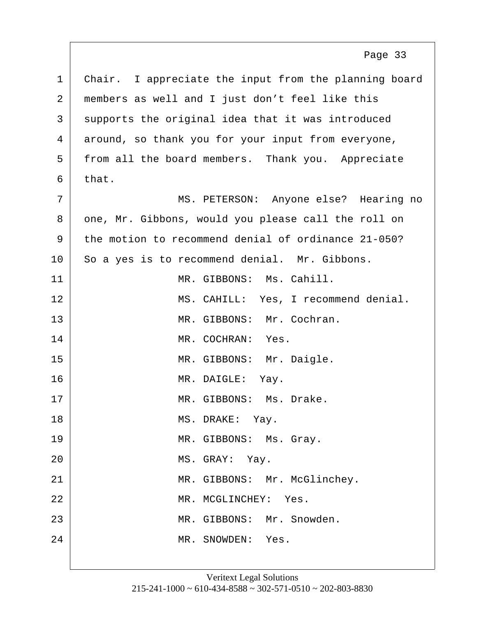<span id="page-33-0"></span>1 Chair. I appreciate the input from the planning board 2 members as well and I just don't feel like this 3 supports the original idea that it was introduced 4 around, so thank you for your input from everyone, 5 from all the board members. Thank you. Appreciate  $6$  that. 7 MS. PETERSON: Anyone else? Hearing no 8 one, Mr. Gibbons, would you please call the roll on 9 the motion to recommend denial of ordinance 21-050? 10 So a yes is to recommend denial. Mr. Gibbons. 11 MR. GIBBONS: Ms. Cahill. 12 | MS. CAHILL: Yes, I recommend denial. 13 MR. GIBBONS: Mr. Cochran. 14 MR. COCHRAN: Yes. 15 | MR. GIBBONS: Mr. Daigle. 16 MR. DAIGLE: Yay. 17 MR. GIBBONS: Ms. Drake. 18 MS. DRAKE: Yay. 19 MR. GIBBONS: Ms. Gray. 20 MS. GRAY: Yay. 21 | MR. GIBBONS: Mr. McGlinchey. 22 MR. MCGLINCHEY: Yes. 23 MR. GIBBONS: Mr. Snowden. 24 MR. SNOWDEN: Yes. Page 33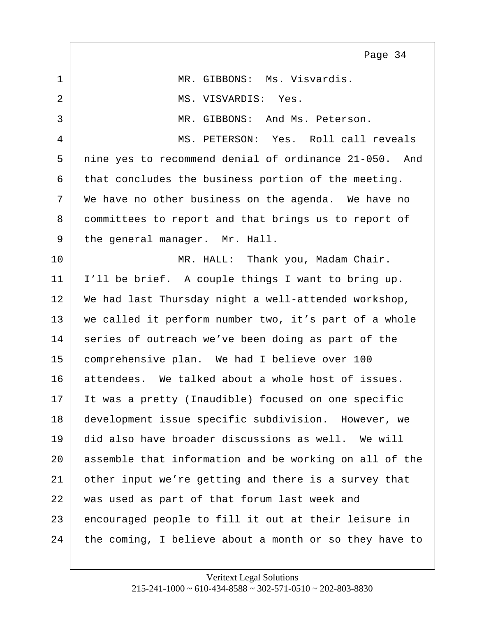<span id="page-34-0"></span>

|              | Page 34                                                |
|--------------|--------------------------------------------------------|
| $\mathbf{1}$ | MR. GIBBONS: Ms. Visvardis.                            |
| 2            | MS. VISVARDIS: Yes.                                    |
| 3            | MR. GIBBONS: And Ms. Peterson.                         |
| 4            | MS. PETERSON: Yes. Roll call reveals                   |
| 5            | nine yes to recommend denial of ordinance 21-050. And  |
| 6            | that concludes the business portion of the meeting.    |
| 7            | We have no other business on the agenda. We have no    |
| 8            | committees to report and that brings us to report of   |
| 9            | the general manager. Mr. Hall.                         |
| 10           | MR. HALL: Thank you, Madam Chair.                      |
| 11           | I'll be brief. A couple things I want to bring up.     |
| 12           | We had last Thursday night a well-attended workshop,   |
| 13           | we called it perform number two, it's part of a whole  |
| 14           | series of outreach we've been doing as part of the     |
| 15           | comprehensive plan. We had I believe over 100          |
| 16           | attendees. We talked about a whole host of issues.     |
| 17           | It was a pretty (Inaudible) focused on one specific    |
| 18           | development issue specific subdivision. However, we    |
| 19           | did also have broader discussions as well. We will     |
| 20           | assemble that information and be working on all of the |
| 21           | other input we're getting and there is a survey that   |
| 22           | was used as part of that forum last week and           |
| 23           | encouraged people to fill it out at their leisure in   |
| 24           | the coming, I believe about a month or so they have to |

Е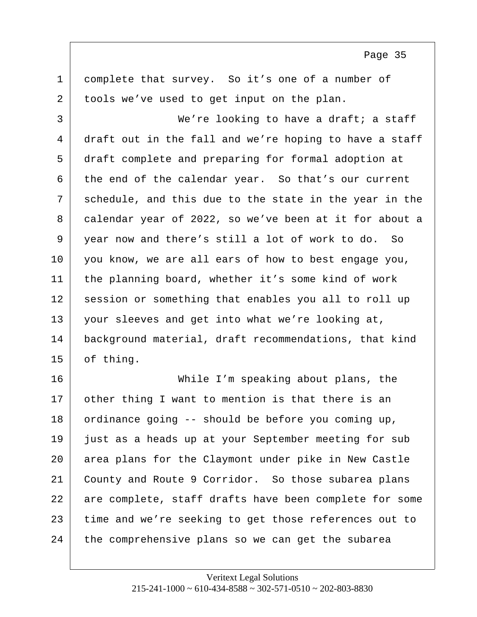<span id="page-35-0"></span>1 complete that survey. So it's one of a number of 2 tools we've used to get input on the plan. 3 We're looking to have a draft; a staff 4 draft out in the fall and we're hoping to have a staff 5 draft complete and preparing for formal adoption at  $6$  the end of the calendar year. So that's our current 7 schedule, and this due to the state in the year in the 8 calendar year of 2022, so we've been at it for about a 9 year now and there's still a lot of work to do. So 10 | you know, we are all ears of how to best engage you, 11 the planning board, whether it's some kind of work 12 session or something that enables you all to roll up 13 your sleeves and get into what we're looking at, 14 background material, draft recommendations, that kind 15 of thing. 16 While I'm speaking about plans, the 17 other thing I want to mention is that there is an 18 ordinance going -- should be before you coming up,

19 just as a heads up at your September meeting for sub 20 area plans for the Claymont under pike in New Castle 21 County and Route 9 Corridor. So those subarea plans 22 are complete, staff drafts have been complete for some 23 time and we're seeking to get those references out to 24 the comprehensive plans so we can get the subarea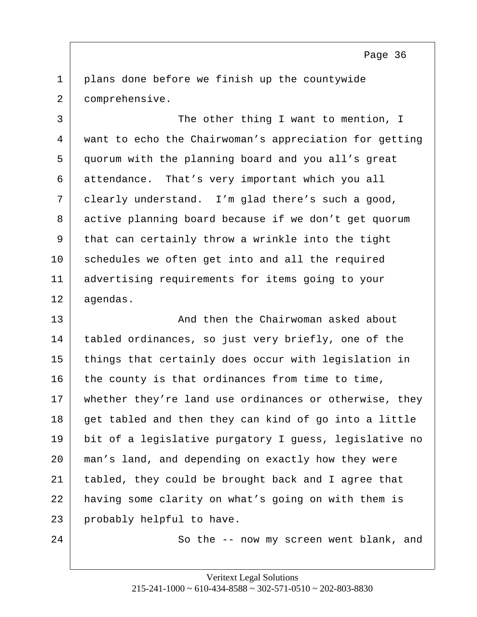<span id="page-36-0"></span>1 plans done before we finish up the countywide 2 comprehensive.

3 The other thing I want to mention, I 4 want to echo the Chairwoman's appreciation for getting 5 quorum with the planning board and you all's great 6 attendance. That's very important which you all 7 | clearly understand. I'm glad there's such a good, 8 active planning board because if we don't get quorum 9 that can certainly throw a wrinkle into the tight 10 schedules we often get into and all the required 11 advertising requirements for items going to your 12 agendas.

13 and then the Chairwoman asked about 13 14 tabled ordinances, so just very briefly, one of the 15 things that certainly does occur with legislation in  $16$  the county is that ordinances from time to time, 17 whether they're land use ordinances or otherwise, they 18 get tabled and then they can kind of go into a little 19 bit of a legislative purgatory I guess, legislative no 20 man's land, and depending on exactly how they were 21 tabled, they could be brought back and I agree that 22 having some clarity on what's going on with them is 23 probably helpful to have.

24 So the -- now my screen went blank, and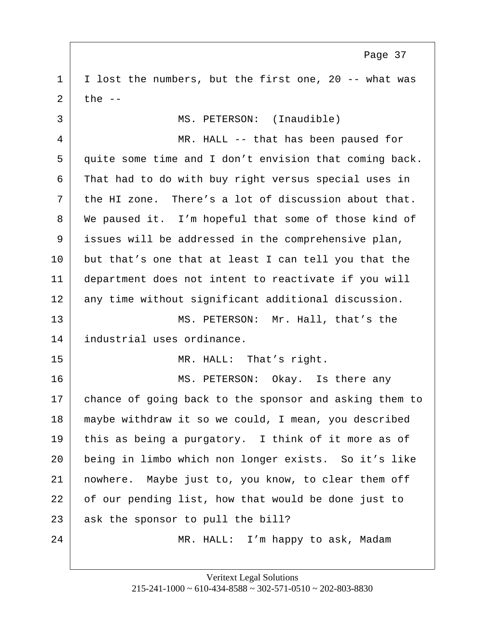<span id="page-37-0"></span>1 | I lost the numbers, but the first one, 20 -- what was  $2$  the  $-$ 

3 MS. PETERSON: (Inaudible) 4 MR. HALL -- that has been paused for 5 quite some time and I don't envision that coming back. 6 That had to do with buy right versus special uses in 7 the HI zone. There's a lot of discussion about that. 8 We paused it. I'm hopeful that some of those kind of 9 issues will be addressed in the comprehensive plan, 10 but that's one that at least I can tell you that the 11 department does not intent to reactivate if you will 12 any time without significant additional discussion. 13 MS. PETERSON: Mr. Hall, that's the 14 industrial uses ordinance. 15 MR. HALL: That's right. 16 MS. PETERSON: Okay. Is there any 17 chance of going back to the sponsor and asking them to 18 maybe withdraw it so we could, I mean, you described 19 this as being a purgatory. I think of it more as of 20 being in limbo which non longer exists. So it's like

22 of our pending list, how that would be done just to 23 ask the sponsor to pull the bill?

21 nowhere. Maybe just to, you know, to clear them off

24 | MR. HALL: I'm happy to ask, Madam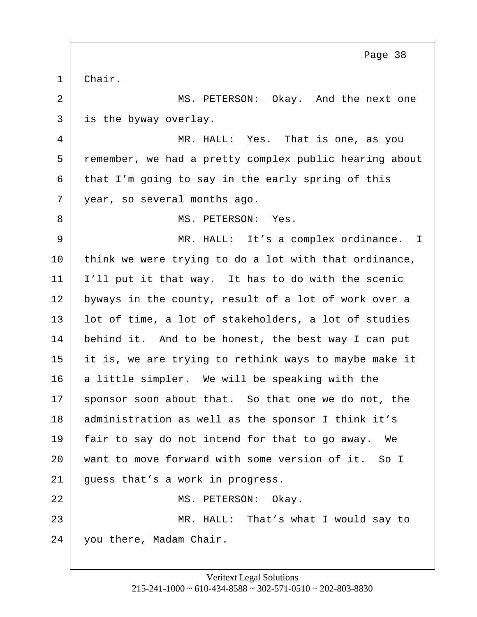<span id="page-38-0"></span>1 Chair.

2 MS. PETERSON: Okay. And the next one 3 is the byway overlay.

4 MR. HALL: Yes. That is one, as you 5 remember, we had a pretty complex public hearing about  $6$  that I'm going to say in the early spring of this 7 year, so several months ago.

8 MS. PETERSON: Yes.

9 MR. HALL: It's a complex ordinance. I  $10$  think we were trying to do a lot with that ordinance, 11 I'll put it that way. It has to do with the scenic 12 byways in the county, result of a lot of work over a 13 | lot of time, a lot of stakeholders, a lot of studies 14 behind it. And to be honest, the best way I can put 15 it is, we are trying to rethink ways to maybe make it 16 a little simpler. We will be speaking with the 17 sponsor soon about that. So that one we do not, the 18 | administration as well as the sponsor I think it's 19 fair to say do not intend for that to go away. We 20 want to move forward with some version of it. So I 21 guess that's a work in progress. 22 MS. PETERSON: Okay. 23 MR. HALL: That's what I would say to

24 you there, Madam Chair.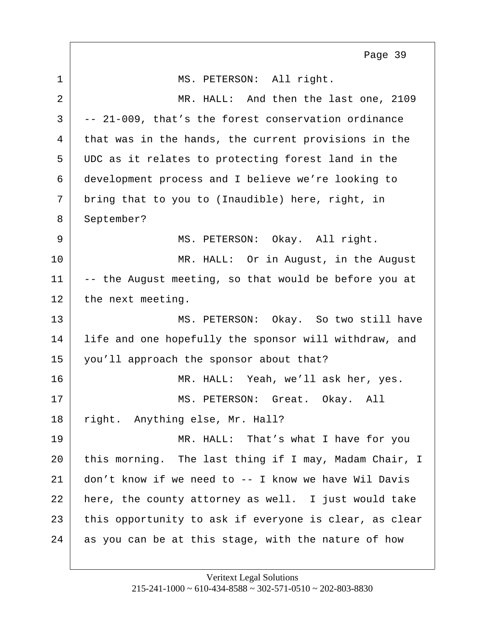<span id="page-39-0"></span>1 MS. PETERSON: All right. 2 MR. HALL: And then the last one, 2109  $3$  -- 21-009, that's the forest conservation ordinance 4 that was in the hands, the current provisions in the 5 UDC as it relates to protecting forest land in the 6 development process and I believe we're looking to  $7$  bring that to you to (Inaudible) here, right, in 8 September? 9 MS. PETERSON: Okay. All right. 10 | MR. HALL: Or in August, in the August  $11$  -- the August meeting, so that would be before you at 12 the next meeting. 13 MS. PETERSON: Okay. So two still have 14 | life and one hopefully the sponsor will withdraw, and 15 you'll approach the sponsor about that? 16 MR. HALL: Yeah, we'll ask her, yes. 17 | MS. PETERSON: Great. Okay. All 18 right. Anything else, Mr. Hall? 19 MR. HALL: That's what I have for you 20 this morning. The last thing if I may, Madam Chair, I 21 don't know if we need to -- I know we have Wil Davis  $22$  here, the county attorney as well. I just would take 23 this opportunity to ask if everyone is clear, as clear 24 as you can be at this stage, with the nature of how Page 39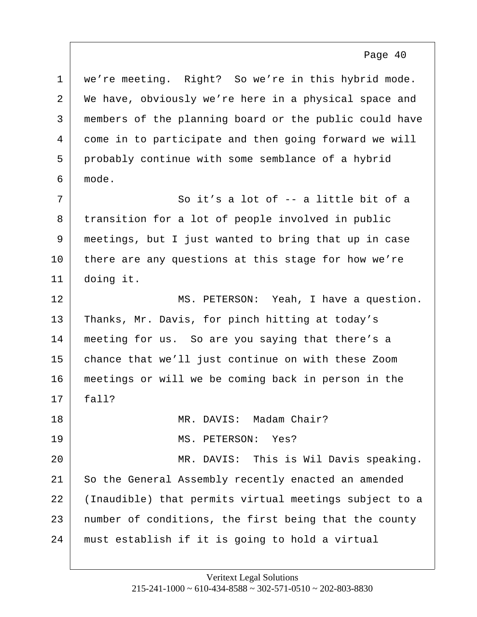<span id="page-40-0"></span> we're meeting. Right? So we're in this hybrid mode. 2 We have, obviously we're here in a physical space and members of the planning board or the public could have come in to participate and then going forward we will probably continue with some semblance of a hybrid 6 mode.

Page 40

 $7$   $\vert$  So it's a lot of -- a little bit of a 8 transition for a lot of people involved in public 9 meetings, but I just wanted to bring that up in case 10 there are any questions at this stage for how we're 11 doing it.

12 MS. PETERSON: Yeah, I have a question. 13 | Thanks, Mr. Davis, for pinch hitting at today's 14 | meeting for us. So are you saying that there's a 15 chance that we'll just continue on with these Zoom 16 meetings or will we be coming back in person in the  $17$  fall? 18 MR. DAVIS: Madam Chair?

20 MR. DAVIS: This is Wil Davis speaking. 21 So the General Assembly recently enacted an amended 22 (Inaudible) that permits virtual meetings subject to a 23 number of conditions, the first being that the county 24 must establish if it is going to hold a virtual

19 MS. PETERSON: Yes?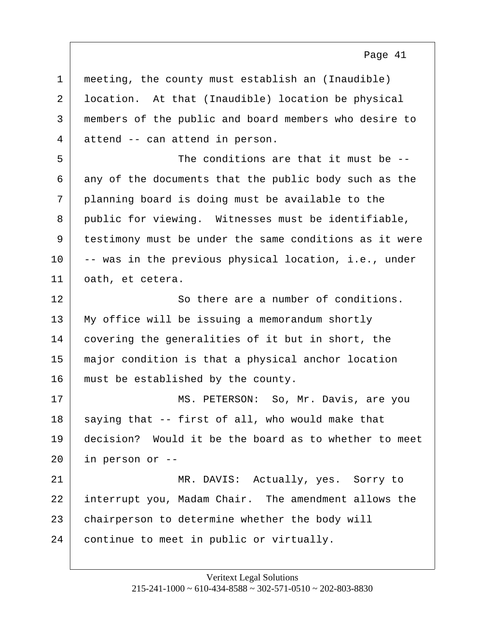<span id="page-41-0"></span>1 meeting, the county must establish an (Inaudible) 2 location. At that (Inaudible) location be physical 3 members of the public and board members who desire to 4 attend -- can attend in person. 5 The conditions are that it must be --  $6$  any of the documents that the public body such as the 7 planning board is doing must be available to the 8 | public for viewing. Witnesses must be identifiable, 9 testimony must be under the same conditions as it were 10 -- was in the previous physical location, i.e., under 11 | oath, et cetera. 12 So there are a number of conditions. 13 My office will be issuing a memorandum shortly 14 covering the generalities of it but in short, the 15 major condition is that a physical anchor location 16 | must be established by the county. 17 MS. PETERSON: So, Mr. Davis, are you  $18$  saying that -- first of all, who would make that 19 decision? Would it be the board as to whether to meet  $20$  in person or  $-$ 21 | MR. DAVIS: Actually, yes. Sorry to 22 interrupt you, Madam Chair. The amendment allows the 23 chairperson to determine whether the body will 24 continue to meet in public or virtually.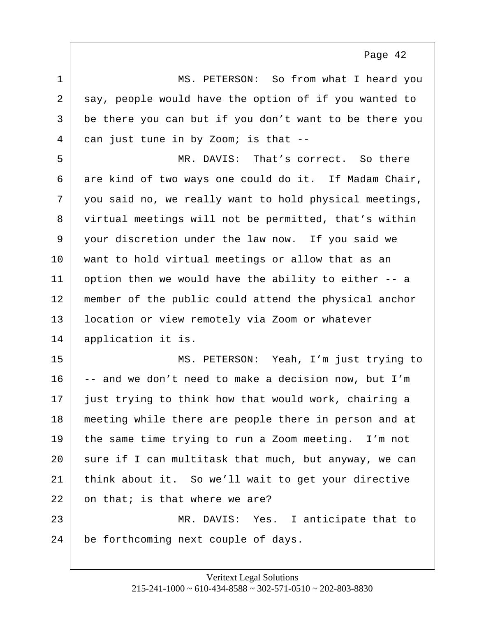<span id="page-42-0"></span>

| $\mathbf{1}$ | MS. PETERSON: So from what I heard you                 |
|--------------|--------------------------------------------------------|
| 2            | say, people would have the option of if you wanted to  |
| 3            | be there you can but if you don't want to be there you |
| 4            | can just tune in by Zoom; is that --                   |
| 5            | MR. DAVIS: That's correct. So there                    |
| 6            | are kind of two ways one could do it. If Madam Chair,  |
| 7            | you said no, we really want to hold physical meetings, |
| 8            | virtual meetings will not be permitted, that's within  |
| 9            | your discretion under the law now. If you said we      |
| 10           | want to hold virtual meetings or allow that as an      |
| 11           | option then we would have the ability to either -- a   |
| 12           | member of the public could attend the physical anchor  |
| 13           | location or view remotely via Zoom or whatever         |
| 14           | application it is.                                     |
| 15           | MS. PETERSON: Yeah, I'm just trying to                 |
| 16           | -- and we don't need to make a decision now, but I'm   |
| 17           | just trying to think how that would work, chairing a   |
| 18           | meeting while there are people there in person and at  |
| 19           | the same time trying to run a Zoom meeting. I'm not    |
| 20           | sure if I can multitask that much, but anyway, we can  |
| 21           | think about it. So we'll wait to get your directive    |
| 22           | on that; is that where we are?                         |
| 23           | MR. DAVIS: Yes. I anticipate that to                   |
| 24           | be forthcoming next couple of days.                    |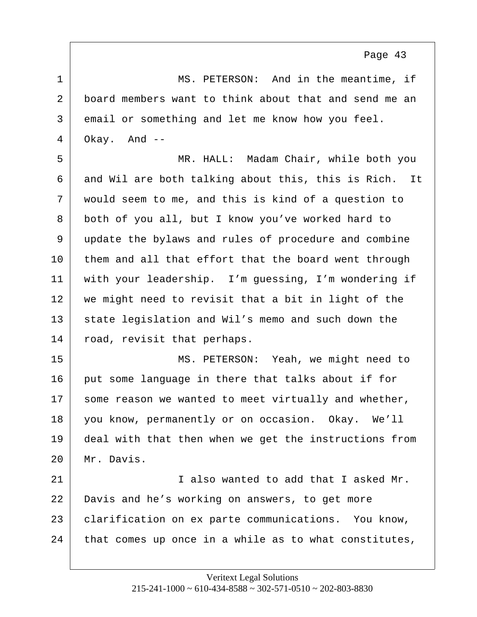<span id="page-43-0"></span>1 MS. PETERSON: And in the meantime, if 2 board members want to think about that and send me an 3 email or something and let me know how you feel.  $4 \mid$  Okay. And  $-$ 5 MR. HALL: Madam Chair, while both you  $6$  and Wil are both talking about this, this is Rich. It 7 would seem to me, and this is kind of a question to 8 both of you all, but I know you've worked hard to 9 update the bylaws and rules of procedure and combine 10 them and all that effort that the board went through 11 with your leadership. I'm guessing, I'm wondering if 12 we might need to revisit that a bit in light of the 13 state legislation and Wil's memo and such down the 14 road, revisit that perhaps. 15 | MS. PETERSON: Yeah, we might need to 16 put some language in there that talks about if for  $17$  some reason we wanted to meet virtually and whether, 18 you know, permanently or on occasion. Okay. We'll 19 deal with that then when we get the instructions from 20 Mr. Davis. 21 I also wanted to add that I asked Mr. 22 Davis and he's working on answers, to get more 23 clarification on ex parte communications. You know,  $24$  that comes up once in a while as to what constitutes,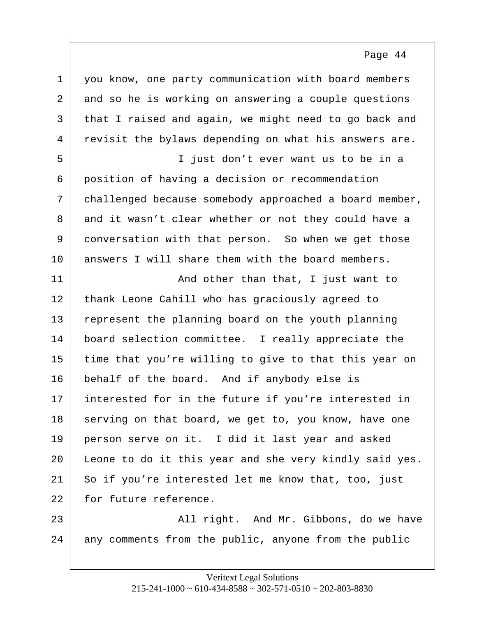<span id="page-44-0"></span>

| $\mathbf 1$ | you know, one party communication with board members   |
|-------------|--------------------------------------------------------|
| 2           | and so he is working on answering a couple questions   |
| 3           | that I raised and again, we might need to go back and  |
| 4           | revisit the bylaws depending on what his answers are.  |
| 5           | I just don't ever want us to be in a                   |
| 6           | position of having a decision or recommendation        |
| 7           | challenged because somebody approached a board member, |
| 8           | and it wasn't clear whether or not they could have a   |
| 9           | conversation with that person. So when we get those    |
| 10          | answers I will share them with the board members.      |
| 11          | And other than that, I just want to                    |
| 12          | thank Leone Cahill who has graciously agreed to        |
| 13          | represent the planning board on the youth planning     |
| 14          | board selection committee. I really appreciate the     |
| 15          | time that you're willing to give to that this year on  |
| 16          | behalf of the board. And if anybody else is            |
| 17          | interested for in the future if you're interested in   |
| 18          | serving on that board, we get to, you know, have one   |
| 19          | person serve on it. I did it last year and asked       |
| 20          | Leone to do it this year and she very kindly said yes. |
| 21          | So if you're interested let me know that, too, just    |
| 22          | for future reference.                                  |
| 23          | All right. And Mr. Gibbons, do we have                 |
| 24          | any comments from the public, anyone from the public   |
|             |                                                        |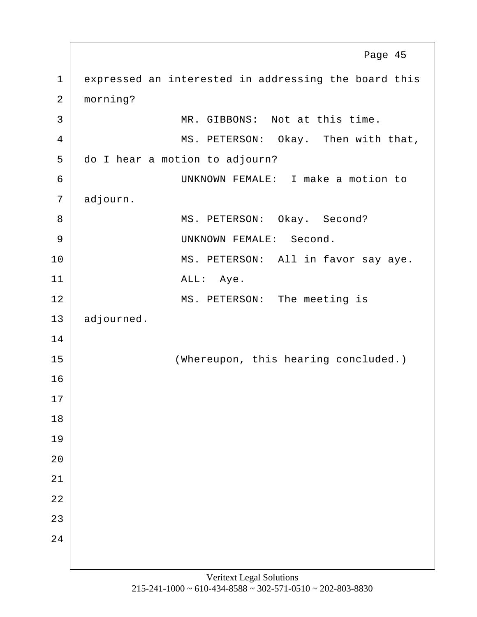<span id="page-45-0"></span>1 expressed an interested in addressing the board this 2 morning? 3 MR. GIBBONS: Not at this time. 4 MS. PETERSON: Okay. Then with that, 5 do I hear a motion to adjourn? 6 UNKNOWN FEMALE: I make a motion to 7 adjourn. 8 MS. PETERSON: Okay. Second? 9 | UNKNOWN FEMALE: Second. 10 MS. PETERSON: All in favor say aye. 11 ALL: Aye. 12 MS. PETERSON: The meeting is 13 adjourned. 14 15 (Whereupon, this hearing concluded.) 16 17 18 19  $20$ 21 22 23  $2.4$ Page 45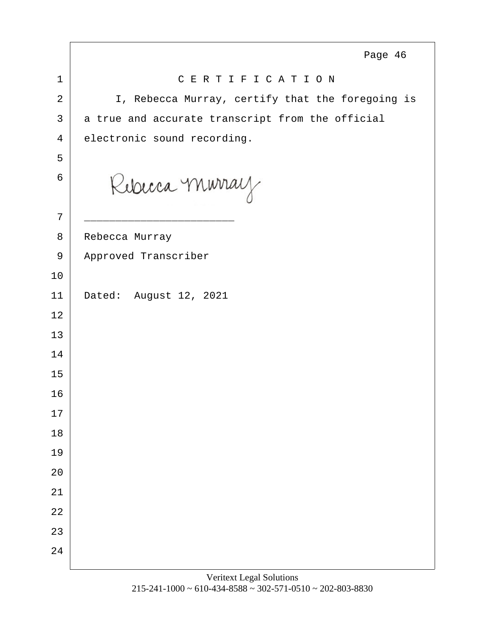<span id="page-46-0"></span>

|                | Page 46                                          |
|----------------|--------------------------------------------------|
| $\mathbf 1$    | CERTIFICATION                                    |
| $\overline{2}$ | I, Rebecca Murray, certify that the foregoing is |
| 3              | a true and accurate transcript from the official |
| 4              | electronic sound recording.                      |
| 5              |                                                  |
| 6              | Rebecca Murray                                   |
| 7              |                                                  |
| 8              | Rebecca Murray                                   |
| 9              | Approved Transcriber                             |
| 10             |                                                  |
| 11             | Dated: August 12, 2021                           |
| 12             |                                                  |
| 13             |                                                  |
| 14             |                                                  |
| 15             |                                                  |
| 16             |                                                  |
| 17             |                                                  |
| $18\,$         |                                                  |
| 19             |                                                  |
| 20             |                                                  |
| 21             |                                                  |
| 22             |                                                  |
| 23             |                                                  |
| 24             |                                                  |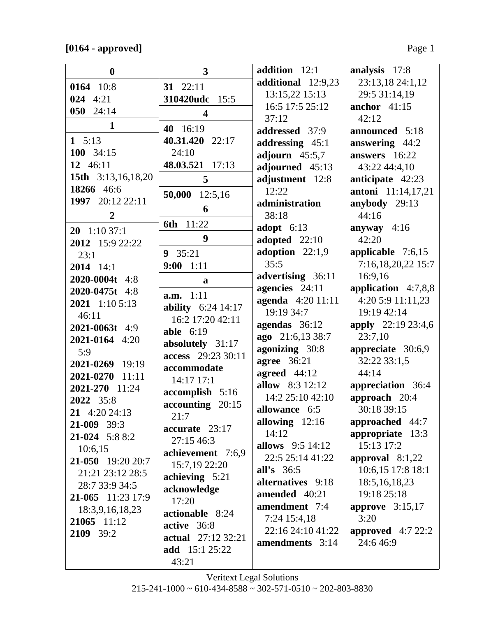| $\boldsymbol{0}$          | $\overline{3}$            | addition 12:1           | analysis 17:8             |
|---------------------------|---------------------------|-------------------------|---------------------------|
| 0164 10:8                 | 31 22:11                  | additional 12:9,23      | 23:13,18 24:1,12          |
| 024 4:21                  | 310420udc<br>15:5         | 13:15,22 15:13          | 29:5 31:14,19             |
| 050 24:14                 | $\overline{\mathbf{4}}$   | 16:5 17:5 25:12         | anchor $41:15$            |
| $\mathbf{1}$              |                           | 37:12                   | 42:12                     |
|                           | 40 16:19                  | addressed 37:9          | announced 5:18            |
| 1 $5:13$                  | 40.31.420 22:17           | addressing 45:1         | answering 44:2            |
| 100 34:15                 | 24:10                     | adjourn $45:5,7$        | answers 16:22             |
| 12 46:11                  | 48.03.521 17:13           | adjourned 45:13         | 43:22 44:4,10             |
| <b>15th</b> 3:13,16,18,20 | 5                         | adjustment 12:8         | anticipate 42:23          |
| 18266 46:6                | 50,000<br>12:5,16         | 12:22                   | <b>antoni</b> 11:14,17,21 |
| 1997 20:12 22:11          | 6                         | administration          | anybody 29:13             |
| $\overline{2}$            |                           | 38:18                   | 44:16                     |
| $20 \quad 1:1037:1$       | 11:22<br>6th              | adopt $6:13$            | anyway $4:16$             |
| 2012 15:9 22:22           | 9                         | adopted 22:10           | 42:20                     |
| 23:1                      | 9 35:21                   | adoption $22:1,9$       | applicable $7:6,15$       |
| $2014$ 14:1               | $9:00$ 1:11               | 35:5                    | 7:16,18,20,22 15:7        |
| 2020-0004t 4:8            | a                         | advertising 36:11       | 16:9,16                   |
| 2020-0475t 4:8            |                           | agencies 24:11          | application $4:7,8,8$     |
| 2021 1:10 5:13            | a.m. 1:11                 | agenda 4:20 11:11       | 4:20 5:9 11:11,23         |
| 46:11                     | ability $6:24$ 14:17      | 19:19 34:7              | 19:19 42:14               |
| 2021-0063t 4:9            | 16:2 17:20 42:11          | agendas 36:12           | <b>apply</b> 22:19 23:4,6 |
| 2021-0164 4:20            | able $6:19$               | ago 21:6,13 38:7        | 23:7,10                   |
| 5:9                       | absolutely 31:17          | agonizing 30:8          | appreciate 30:6,9         |
| 2021-0269 19:19           | access 29:23 30:11        | <b>agree</b> 36:21      | 32:22 33:1,5              |
| 2021-0270 11:11           | accommodate               | agreed 44:12            | 44:14                     |
| 2021-270 11:24            | 14:17 17:1                | allow 8:3 12:12         | appreciation 36:4         |
| 2022 35:8                 | $accomplish 5:16$         | 14:2 25:10 42:10        | approach 20:4             |
| 21 4:20 24:13             | accounting 20:15          | allowance 6:5           | 30:18 39:15               |
| $21-009$ 39:3             | 21:7                      | allowing 12:16          | approached 44:7           |
| $21-024$ 5:8 8:2          | accurate 23:17            | 14:12                   | appropriate 13:3          |
| 10:6,15                   | 27:15 46:3                | <b>allows</b> 9:5 14:12 | 15:13 17:2                |
| 21-050 19:20 20:7         | achievement 7:6,9         | 22:5 25:14 41:22        | approval $8:1,22$         |
|                           | 15:7,19 22:20             | all's $36:5$            | 10:6,15 17:8 18:1         |
| 21:21 23:12 28:5          | achieving 5:21            | alternatives 9:18       | 18:5, 16, 18, 23          |
| 28:7 33:9 34:5            | acknowledge               | amended 40:21           | 19:18 25:18               |
| 21-065 11:23 17:9         | 17:20                     | amendment 7:4           | approve $3:15,17$         |
| 18:3,9,16,18,23           | actionable 8:24           | 7:24 15:4,18            | 3:20                      |
| 21065 11:12               | active 36:8               | 22:16 24:10 41:22       | approved $4:722:2$        |
| 2109 39:2                 | <b>actual</b> 27:12 32:21 | amendments 3:14         | 24:646:9                  |
|                           | <b>add</b> 15:1 25:22     |                         |                           |
|                           | 43:21                     |                         |                           |

Veritext Legal Solutions  $215-241-1000 \sim 610-434-8588 \sim 302-571-0510 \sim 202-803-8830$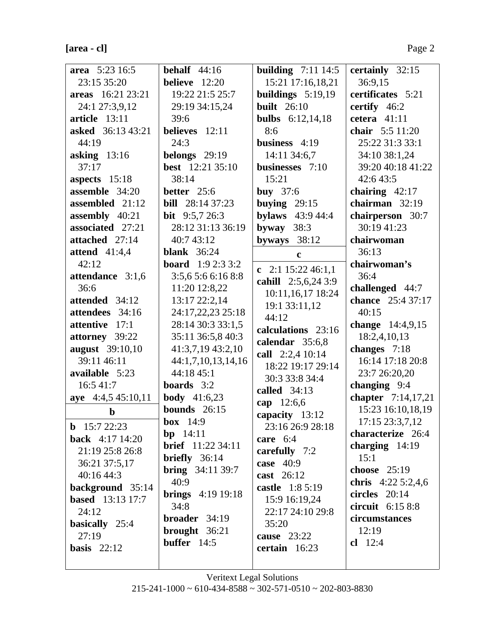| $[area - c]$ | Page 2 |
|--------------|--------|
|              |        |

| area 5:23 16:5                                | behalf $44:16$            | <b>building</b> 7:11 14:5          | certainly 32:15     |
|-----------------------------------------------|---------------------------|------------------------------------|---------------------|
| 23:15 35:20                                   | believe $12:20$           | 15:21 17:16,18,21                  | 36:9,15             |
| areas 16:21 23:21                             | 19:22 21:5 25:7           | buildings $5:19,19$                | certificates 5:21   |
| 24:1 27:3,9,12                                | 29:19 34:15,24            | <b>built</b> 26:10                 | certify 46:2        |
| article 13:11                                 | 39:6                      | <b>bulbs</b> 6:12,14,18            | cetera $41:11$      |
| <b>asked</b> 36:13 43:21                      | believes 12:11            | 8:6                                | chair 5:5 11:20     |
| 44:19                                         | 24:3                      | business $4:19$                    | 25:22 31:3 33:1     |
| asking $13:16$                                | belongs 29:19             | 14:11 34:6,7                       | 34:10 38:1,24       |
| 37:17                                         | <b>best</b> 12:21 35:10   | businesses 7:10                    | 39:20 40:18 41:22   |
| aspects $15:18$                               | 38:14                     | 15:21                              | 42:6 43:5           |
| assemble 34:20                                | better $25:6$             | buy $37:6$                         | chairing $42:17$    |
| assembled 21:12                               | <b>bill</b> 28:14 37:23   | buying $29:15$                     | chairman $32:19$    |
| assembly 40:21                                | <b>bit</b> $9:5,7,26:3$   | <b>bylaws</b> 43:9 44:4            | chairperson 30:7    |
| associated 27:21                              | 28:12 31:13 36:19         | byway $38:3$                       | 30:19 41:23         |
| attached 27:14                                | 40:7 43:12                | byways $38:12$                     | chairwoman          |
| attend $41:4,4$                               | <b>blank</b> 36:24        | $\mathbf{c}$                       | 36:13               |
| 42:12                                         | <b>board</b> $1:92:33:2$  | c $2:1 15:22 46:1,1$               | chairwoman's        |
| attendance 3:1,6                              | 3:5,6 5:6 6:16 8:8        | cahill 2:5,6,24 3:9                | 36:4                |
| 36:6                                          | 11:20 12:8,22             | 10:11,16,17 18:24                  | challenged 44:7     |
| attended 34:12                                | 13:17 22:2,14             | 19:1 33:11,12                      | chance 25:4 37:17   |
| attendees 34:16                               | 24:17,22,23 25:18         | 44:12                              | 40:15               |
| attentive 17:1                                | 28:14 30:3 33:1,5         | calculations 23:16                 | change 14:4,9,15    |
| attorney 39:22                                | 35:11 36:5,8 40:3         | calendar 35:6,8                    | 18:2,4,10,13        |
| <b>august</b> 39:10,10                        | 41:3,7,19 43:2,10         | call 2:2,4 10:14                   | changes 7:18        |
| 39:11 46:11                                   | 44:1,7,10,13,14,16        | 18:22 19:17 29:14                  | 16:14 17:18 20:8    |
| available 5:23                                | 44:18 45:1                | 30:3 33:8 34:4                     | 23:7 26:20,20       |
| 16:5 41:7                                     | <b>boards</b> $3:2$       | called 34:13                       | changing 9:4        |
| aye 4:4,5 45:10,11                            | <b>body</b> 41:6,23       |                                    | chapter 7:14,17,21  |
| $\mathbf b$                                   | bounds $26:15$            | cap 12:6,6                         | 15:23 16:10,18,19   |
|                                               | box $14:9$                | capacity 13:12<br>23:16 26:9 28:18 | $17:15\,23:3,7,12$  |
| <b>b</b> 15:7 22:23<br><b>back</b> 4:17 14:20 | bp $14:11$                |                                    | characterize 26:4   |
|                                               | <b>brief</b> 11:22 34:11  | care $6:4$                         | charging $14:19$    |
| 21:19 25:8 26:8                               | briefly $36:14$           | carefully 7:2                      | 15:1                |
| 36:21 37:5,17                                 | <b>bring</b> $34:1139:7$  | case 40:9                          | choose $25:19$      |
| 40:16 44:3                                    | 40:9                      | cast 26:12                         | chris $4:225:2,4,6$ |
| background 35:14                              | <b>brings</b> $4:1919:18$ | castle 1:8 5:19                    | circles 20:14       |
| <b>based</b> 13:13 17:7                       | 34:8                      | 15:9 16:19,24<br>22:17 24:10 29:8  | circuit 6:15 8:8    |
| 24:12                                         | broader 34:19             |                                    | circumstances       |
| basically 25:4                                | brought 36:21             | 35:20                              | 12:19               |
| 27:19                                         | buffer 14:5               | cause 23:22                        | $cl$ 12:4           |
| basis $22:12$                                 |                           | certain 16:23                      |                     |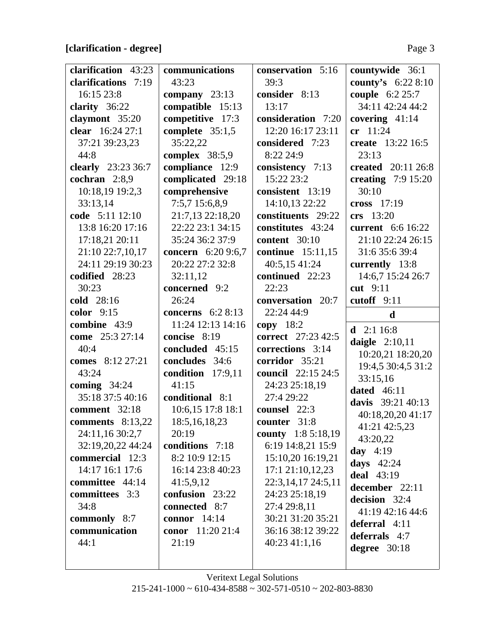## **[clarification - degree]** Page 3

| clarification 43:23                   | communications                    | conservation 5:16                 | countywide 36:1      |
|---------------------------------------|-----------------------------------|-----------------------------------|----------------------|
| clarifications 7:19                   | 43:23                             | 39:3                              | county's 6:22 8:10   |
| 16:15 23:8                            | company 23:13                     | consider 8:13                     | couple 6:2 25:7      |
| clarity $36:22$                       | compatible 15:13                  | 13:17                             | 34:11 42:24 44:2     |
| claymont 35:20                        | competitive 17:3                  | consideration 7:20                | covering $41:14$     |
| clear 16:24 27:1                      | complete $35:1,5$                 | 12:20 16:17 23:11                 | cr 11:24             |
| 37:21 39:23,23                        | 35:22,22                          | considered 7:23                   | create 13:22 16:5    |
| 44:8                                  | complex $38:5,9$                  | 8:22 24:9                         | 23:13                |
| clearly 23:23 36:7                    | compliance 12:9                   | consistency 7:13                  | created 20:11 26:8   |
| cochran 2:8,9                         | complicated 29:18                 | 15:22 23:2                        | creating $7:9$ 15:20 |
| 10:18,19 19:2,3                       | comprehensive                     | consistent 13:19                  | 30:10                |
| 33:13,14                              | 7:5,7 15:6,8,9                    | 14:10,13 22:22                    | cross $17:19$        |
| code 5:11 12:10                       | 21:7,13 22:18,20                  | constituents 29:22                | crs 13:20            |
| 13:8 16:20 17:16                      | 22:22 23:1 34:15                  | constitutes 43:24                 | current 6:6 16:22    |
| 17:18,21 20:11                        | 35:24 36:2 37:9                   | content 30:10                     | 21:10 22:24 26:15    |
| 21:10 22:7,10,17                      | <b>concern</b> 6:20 9:6,7         | <b>continue</b> 15:11,15          | 31:6 35:6 39:4       |
| 24:11 29:19 30:23                     | 20:22 27:2 32:8                   | 40:5,15 41:24                     | currently 13:8       |
| codified 28:23                        | 32:11,12                          | continued 22:23                   | 14:6,7 15:24 26:7    |
| 30:23                                 | concerned 9:2                     | 22:23                             | cut 9:11             |
| cold 28:16                            | 26:24                             | conversation 20:7                 | cutoff 9:11          |
| color $9:15$                          | concerns $6:28:13$                | 22:24 44:9                        |                      |
|                                       |                                   |                                   |                      |
| combine 43:9                          | 11:24 12:13 14:16                 | $copy$ 18:2                       | $\mathbf d$          |
| come 25:3 27:14                       | concise 8:19                      | correct 27:23 42:5                | <b>d</b> $2:116:8$   |
| 40:4                                  | concluded 45:15                   | corrections 3:14                  | daigle $2:10,11$     |
| comes 8:12 27:21                      | concludes 34:6                    | corridor 35:21                    | 10:20,21 18:20,20    |
| 43:24                                 |                                   |                                   | 19:4,5 30:4,5 31:2   |
|                                       | condition 17:9,11<br>41:15        | council 22:15 24:5                | 33:15,16             |
| coming $34:24$<br>35:18 37:5 40:16    |                                   | 24:23 25:18,19                    | dated $46:11$        |
| comment 32:18                         | conditional 8:1                   | 27:4 29:22                        | davis 39:21 40:13    |
|                                       | 10:6,15 17:8 18:1                 | counsel 22:3<br>counter 31:8      | 40:18,20,20 41:17    |
| comments $8:13,22$<br>24:11,16 30:2,7 | 18:5, 16, 18, 23<br>20:19         |                                   | 41:21 42:5,23        |
|                                       |                                   | county $1:85:18,19$               | 43:20,22             |
| 32:19,20,22 44:24<br>commercial 12:3  | conditions 7:18<br>8:2 10:9 12:15 | 6:19 14:8,21 15:9                 | day $4:19$           |
| 14:17 16:1 17:6                       | 16:14 23:8 40:23                  | 15:10,20 16:19,21                 | days $42:24$         |
|                                       |                                   | 17:121:10,12,23                   | <b>deal</b> 43:19    |
| committee 44:14                       | 41:5,9,12                         | 22:3,14,17 24:5,11                | december 22:11       |
| committees 3:3<br>34:8                | confusion 23:22<br>connected 8:7  | 24:23 25:18,19                    | decision 32:4        |
|                                       | connor $14:14$                    | 27:4 29:8,11<br>30:21 31:20 35:21 | 41:19 42:16 44:6     |
| commonly 8:7<br>communication         | <b>conor</b> 11:20 21:4           | 36:16 38:12 39:22                 | deferral 4:11        |
| 44:1                                  | 21:19                             |                                   | deferrals 4:7        |
|                                       |                                   | $40:23\,41:1,16$                  | degree $30:18$       |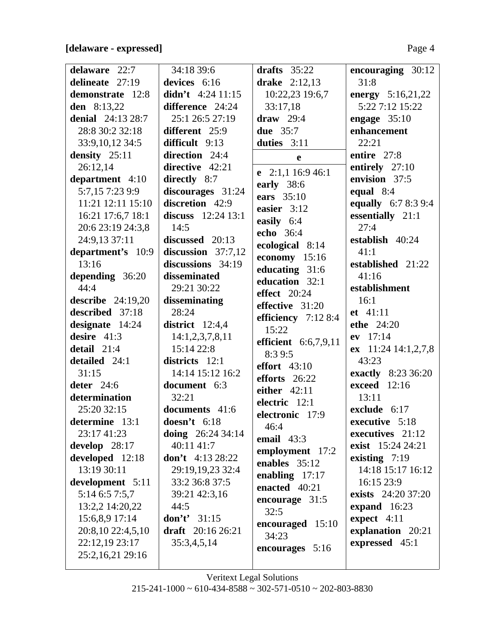#### **[delaware - expressed]** Page 4

| delaware 22:7       | 34:18 39:6            | drafts $35:22$          | encouraging 30:12          |
|---------------------|-----------------------|-------------------------|----------------------------|
| delineate 27:19     | devices 6:16          | drake $2:12,13$         | 31:8                       |
| demonstrate 12:8    | didn't $4:24$ 11:15   | 10:22,23 19:6,7         | energy 5:16,21,22          |
| den 8:13,22         | difference 24:24      | 33:17,18                | 5:22 7:12 15:22            |
| denial $24:1328:7$  | 25:1 26:5 27:19       | draw $29:4$             | engage $35:10$             |
| 28:8 30:2 32:18     | different 25:9        | <b>due</b> 35:7         | enhancement                |
| 33:9, 10, 12 34:5   | difficult 9:13        | duties 3:11             | 22:21                      |
| density 25:11       | direction 24:4        | e                       | entire 27:8                |
| 26:12,14            | directive $42:21$     | e $2:1,1$ 16:9 46:1     | entirely 27:10             |
| department 4:10     | directly 8:7          | early 38:6              | envision 37:5              |
| 5:7,157:239:9       | discourages 31:24     | ears 35:10              | equal $8:4$                |
| 11:21 12:11 15:10   | discretion 42:9       | easier 3:12             | <b>equally</b> 6:7 8:3 9:4 |
| 16:21 17:6,7 18:1   | discuss $12:24$ 13:1  |                         | essentially 21:1           |
| 20:6 23:19 24:3,8   | 14:5                  | easily 6:4<br>echo 36:4 | 27:4                       |
| 24:9,13 37:11       | discussed 20:13       |                         | establish 40:24            |
| department's 10:9   | discussion $37:7,12$  | ecological 8:14         | 41:1                       |
| 13:16               | discussions 34:19     | economy 15:16           | established 21:22          |
| depending 36:20     | disseminated          | educating 31:6          | 41:16                      |
| 44:4                | 29:21 30:22           | education 32:1          | establishment              |
| describe $24:19,20$ | disseminating         | effect $20:24$          | 16:1                       |
| described 37:18     | 28:24                 | effective 31:20         | et 41:11                   |
| designate 14:24     | district $12:4,4$     | efficiency $7:128:4$    | ethe 24:20                 |
| desire $41:3$       | 14:1,2,3,7,8,11       | 15:22                   | ev 17:14                   |
| detail 21:4         | 15:14 22:8            | efficient $6:6,7,9,11$  | ex $11:24$ 14:1,2,7,8      |
| detailed 24:1       | districts 12:1        | 8:3 9:5                 | 43:23                      |
| 31:15               | 14:14 15:12 16:2      | <b>effort</b> 43:10     | exactly 8:23 36:20         |
| deter $24:6$        | document 6:3          | efforts 26:22           | <b>exceed</b> 12:16        |
| determination       | 32:21                 | either $42:11$          | 13:11                      |
| 25:20 32:15         | documents 41:6        | electric 12:1           | exclude 6:17               |
| determine 13:1      | doesn't $6:18$        | electronic 17:9         | executive 5:18             |
| 23:17 41:23         | doing $26:2434:14$    | 46:4                    | executives $21:12$         |
| develop $28:17$     | 40:11 41:7            | email $43:3$            | exist 15:24 24:21          |
| developed 12:18     | don't $4:13\,28:22$   | employment 17:2         | existing $7:19$            |
| 13:19 30:11         | 29:19,19,23 32:4      | enables 35:12           | 14:18 15:17 16:12          |
| development 5:11    | 33:2 36:8 37:5        | enabling $17:17$        | 16:15 23:9                 |
| 5:14 6:5 7:5,7      | 39:21 42:3,16         | enacted 40:21           | exists 24:20 37:20         |
| 13:2,2 14:20,22     | 44:5                  | encourage 31:5          | expand $16:23$             |
| 15:6,8,9 17:14      | <b>don't'</b> $31:15$ | 32:5                    | expect 4:11                |
| 20:8,10 22:4,5,10   | draft $20:16\,26:21$  | encouraged 15:10        | explanation 20:21          |
| 22:12,19 23:17      | 35:3,4,5,14           | 34:23                   | expressed 45:1             |
| 25:2,16,21 29:16    |                       | encourages 5:16         |                            |
|                     |                       |                         |                            |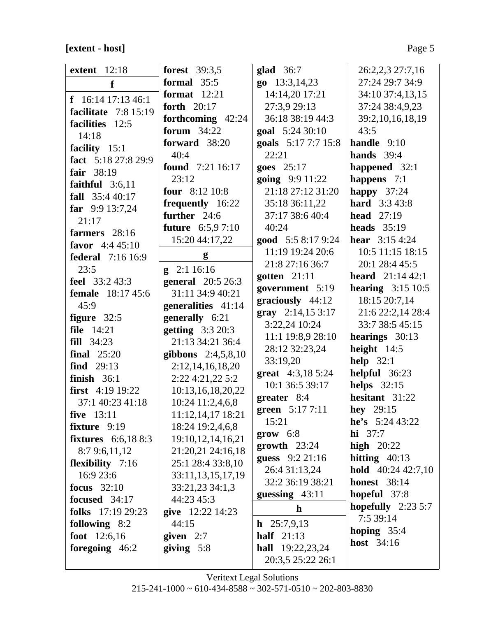## **[extent - host]** Page 5

| <b>extent</b> 12:18                   | <b>forest</b> 39:3,5    | glad $36:7$               | 26:2,2,3 27:7,16             |
|---------------------------------------|-------------------------|---------------------------|------------------------------|
| f                                     | formal $35:5$           | go 13:3,14,23             | 27:24 29:7 34:9              |
| f $16:14$ 17:13 46:1                  | format $12:21$          | 14:14,20 17:21            | 34:10 37:4,13,15             |
| facilitate $7:8$ 15:19                | forth 20:17             | 27:3,9 29:13              | 37:24 38:4,9,23              |
| facilities 12:5                       | forthcoming 42:24       | 36:18 38:19 44:3          | 39:2,10,16,18,19             |
| 14:18                                 | forum 34:22             | goal 5:24 30:10           | 43:5                         |
|                                       | forward 38:20           | goals 5:17 7:7 15:8       | handle $9:10$                |
| facility 15:1<br>fact 5:18 27:8 29:9  | 40:4                    | 22:21                     | hands $39:4$                 |
|                                       | <b>found</b> 7:21 16:17 | goes $25:17$              | happened 32:1                |
| fair 38:19                            | 23:12                   | going 9:9 11:22           | happens $7:1$                |
| faithful $3:6,11$<br>fall $35:440:17$ | four $8:1210:8$         | 21:18 27:12 31:20         | happy $37:24$                |
|                                       | frequently 16:22        | 35:18 36:11,22            | <b>hard</b> 3:3 43:8         |
| far $9:913:7,24$<br>21:17             | further 24:6            | 37:17 38:6 40:4           | <b>head</b> 27:19            |
|                                       | <b>future</b> 6:5,97:10 | 40:24                     | heads $35:19$                |
| farmers $28:16$<br>favor $4:445:10$   | 15:20 44:17,22          | good 5:5 8:17 9:24        | <b>hear</b> $3:154:24$       |
| <b>federal</b> 7:16 16:9              | g                       | 11:19 19:24 20:6          | 10:5 11:15 18:15             |
| 23:5                                  | $g$ 2:1 16:16           | 21:8 27:16 36:7           | 20:1 28:4 45:5               |
| feel 33:2 43:3                        | general 20:5 26:3       | gotten $21:11$            | <b>heard</b> $21:1442:1$     |
| <b>female</b> 18:17 45:6              | 31:11 34:9 40:21        | government 5:19           | hearing $3:15$ 10:5          |
| 45:9                                  | generalities 41:14      | graciously $44:12$        | 18:15 20:7,14                |
| figure $32:5$                         | generally 6:21          | gray $2:14,153:17$        | 21:6 22:2,14 28:4            |
| <b>file</b> 14:21                     | getting $3:320:3$       | 3:22,24 10:24             | 33:7 38:5 45:15              |
| fill 34:23                            | 21:13 34:21 36:4        | 11:1 19:8,9 28:10         | hearings 30:13               |
| final $25:20$                         | gibbons $2:4,5,8,10$    | 28:12 32:23,24            | height $14:5$                |
| find $29:13$                          | 2:12, 14, 16, 18, 20    | 33:19,20                  | help $32:1$                  |
| finish $36:1$                         | 2:22 4:21,22 5:2        | <b>great</b> $4:3,185:24$ | helpful 36:23                |
| first $4:19$ 19:22                    | 10:13,16,18,20,22       | 10:1 36:5 39:17           | helps $32:15$                |
| 37:1 40:23 41:18                      | 10:24 11:2,4,6,8        | greater 8:4               | hesitant 31:22               |
| five 13:11                            | 11:12,14,17 18:21       | green 5:17 7:11           | <b>hey</b> $29:15$           |
| fixture 9:19                          | 18:24 19:2,4,6,8        | 15:21                     | he's $5:2443:22$             |
| <b>fixtures</b> 6:6,188:3             | 19:10,12,14,16,21       | $\textbf{grow} \quad 6:8$ | <b>hi</b> $37:7$             |
| 8:79:6,11,12                          | 21:20,21 24:16,18       | $growth$ 23:24            | high $20:22$                 |
| <b>flexibility</b> 7:16               | 25:1 28:4 33:8,10       | guess 9:2 21:16           | hitting $40:13$              |
| 16:9 23:6                             | 33:11,13,15,17,19       | 26:4 31:13,24             | <b>hold</b> $40:24\,42:7,10$ |
| focus $32:10$                         | 33:21,23 34:1,3         | 32:2 36:19 38:21          | <b>honest</b> 38:14          |
| focused 34:17                         | 44:23 45:3              | guessing 43:11            | hopeful 37:8                 |
| folks $17:1929:23$                    | give 12:22 14:23        | $\mathbf h$               | hopefully $2:235:7$          |
| following 8:2                         | 44:15                   | $h$ 25:7,9,13             | 7:5 39:14                    |
| foot $12:6,16$                        | given $2:7$             | half $21:13$              | hoping $35:4$                |
| foregoing $46:2$                      | giving $5:8$            | <b>hall</b> 19:22,23,24   | <b>host</b> 34:16            |
|                                       |                         | 20:3,5 25:22 26:1         |                              |
|                                       |                         |                           |                              |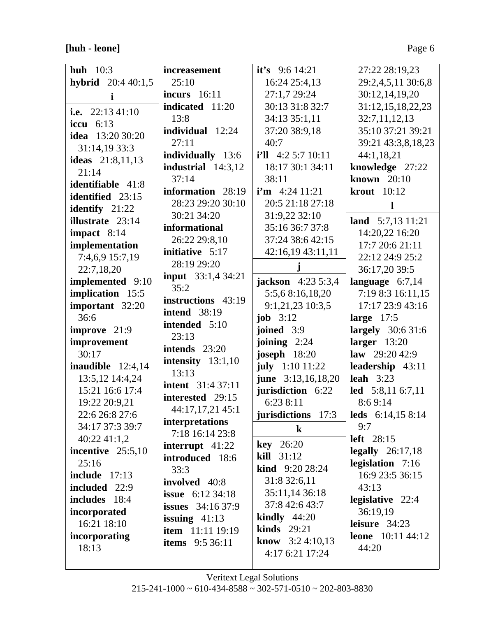**[huh - leone]** Page 6

 $\overline{\phantom{a}}$ 

| huh $10:3$                 | <i>increasement</i>       | it's $9:614:21$            | 27:22 28:19,23            |
|----------------------------|---------------------------|----------------------------|---------------------------|
| <b>hybrid</b> $20:440:1,5$ | 25:10                     | 16:24 25:4,13              | 29:2,4,5,11 30:6,8        |
| i                          | <b>incurs</b> 16:11       | 27:1,7 29:24               | 30:12,14,19,20            |
|                            | indicated 11:20           | 30:13 31:8 32:7            | 31:12,15,18,22,23         |
| i.e. $22:1341:10$          | 13:8                      | 34:13 35:1,11              | 32:7,11,12,13             |
| iccu $6:13$                | individual 12:24          | 37:20 38:9,18              | 35:10 37:21 39:21         |
| <b>idea</b> 13:20 30:20    | 27:11                     | 40:7                       | 39:21 43:3,8,18,23        |
| 31:14,19 33:3              | individually 13:6         | $i'll$ 4:2 5:7 10:11       | 44:1,18,21                |
| <b>ideas</b> 21:8,11,13    | industrial $14:3,12$      | 18:17 30:1 34:11           | knowledge 27:22           |
| 21:14                      | 37:14                     | 38:11                      | known $20:10$             |
| identifiable 41:8          | information 28:19         | $i'm$ 4:24 11:21           | <b>krout</b> 10:12        |
| identified 23:15           | 28:23 29:20 30:10         |                            |                           |
| identify 21:22             | 30:21 34:20               | 20:5 21:18 27:18           | 1                         |
| illustrate 23:14           |                           | 31:9,22 32:10              | land $5:7,13$ 11:21       |
| impact $8:14$              | informational             | 35:16 36:7 37:8            | 14:20,22 16:20            |
| implementation             | 26:22 29:8,10             | 37:24 38:6 42:15           | 17:7 20:6 21:11           |
| 7:4,6,9 15:7,19            | initiative 5:17           | 42:16,19 43:11,11          | 22:12 24:9 25:2           |
| 22:7,18,20                 | 28:19 29:20               |                            | 36:17,20 39:5             |
| implemented 9:10           | <b>input</b> 33:1,4 34:21 | <b>jackson</b> $4:235:3,4$ | language $6:7,14$         |
| implication 15:5           | 35:2                      | 5:5,6 8:16,18,20           | 7:19 8:3 16:11,15         |
| important 32:20            | instructions 43:19        | 9:1,21,23 10:3,5           | 17:17 23:9 43:16          |
| 36:6                       | <b>intend</b> 38:19       | job $3:12$                 | large $17:5$              |
| improve 21:9               | intended 5:10             | joined $3:9$               | <b>largely</b> 30:6 31:6  |
| improvement                | 23:13                     | joining $2:24$             | larger $13:20$            |
| 30:17                      | intends $23:20$           | joseph 18:20               | law $29:2042:9$           |
| inaudible $12:4,14$        | intensity $13:1,10$       | july 1:10 11:22            | leadership 43:11          |
| 13:5,12 14:4,24            | 13:13                     | june 3:13,16,18,20         | leah $3:23$               |
| 15:21 16:6 17:4            | <b>intent</b> 31:4 37:11  | jurisdiction 6:22          | led 5:8,11 6:7,11         |
| 19:22 20:9,21              | interested 29:15          | 6:238:11                   | 8:69:14                   |
| 22:6 26:8 27:6             | 44:17,17,21 45:1          | jurisdictions 17:3         | leds $6:14,158:14$        |
| 34:17 37:3 39:7            | interpretations           | $\bf k$                    | 9:7                       |
| 40:2241:1,2                | 7:18 16:14 23:8           |                            | left 28:15                |
| incentive $25:5,10$        | interrupt $41:22$         | <b>key</b> 26:20           | legally $26:17,18$        |
| 25:16                      | introduced 18:6           | kill 31:12                 | legislation 7:16          |
| <b>include</b> 17:13       | 33:3                      | <b>kind</b> $9:2028:24$    | 16:9 23:5 36:15           |
| included 22:9              | involved 40:8             | 31:8 32:6,11               | 43:13                     |
| includes 18:4              | <b>issue</b> $6:1234:18$  | 35:11,14 36:18             | <b>legislative</b> 22:4   |
| incorporated               | <b>issues</b> 34:16 37:9  | 37:8 42:6 43:7             | 36:19,19                  |
|                            |                           |                            |                           |
|                            | issuing $41:13$           | <b>kindly</b> $44:20$      |                           |
| 16:21 18:10                | <b>item</b> 11:11 19:19   | kinds $29:21$              | leisure $34:23$           |
| incorporating              | <b>items</b> 9:5 36:11    | <b>know</b> $3:24:10,13$   | <b>leone</b> $10:1144:12$ |
| 18:13                      |                           | 4:17 6:21 17:24            | 44:20                     |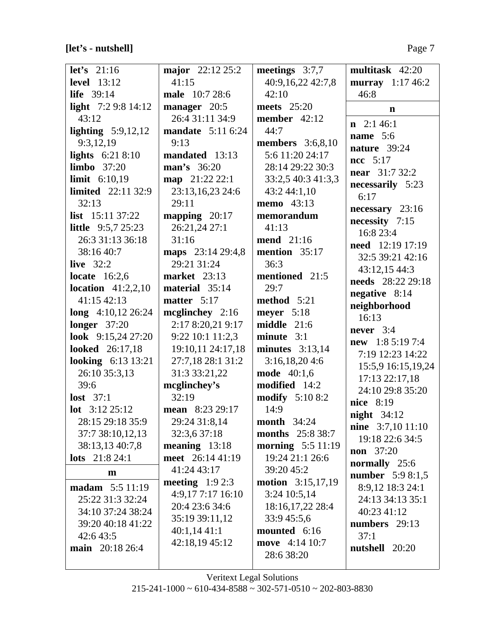# **[let's - nutshell]** Page 7

| let's $21:16$              | major 22:12 25:2         | meetings $3:7,7$         | multitask 42:20          |
|----------------------------|--------------------------|--------------------------|--------------------------|
| <b>level</b> 13:12         | 41:15                    | 40:9,16,22 42:7,8        | murray $1:17\,46:2$      |
| <b>life</b> 39:14          | male 10:7 28:6           | 42:10                    | 46:8                     |
| light $7:29:814:12$        | manager 20:5             | meets $25:20$            |                          |
| 43:12                      | 26:4 31:11 34:9          | member $42:12$           | $\mathbf n$              |
| lighting $5:9,12,12$       | <b>mandate</b> 5:11 6:24 | 44:7                     | $n \quad 2:1\;46:1$      |
| 9:3,12,19                  | 9:13                     | <b>members</b> 3:6,8,10  | name $5:6$               |
| lights $6:218:10$          | mandated 13:13           | 5:6 11:20 24:17          | nature 39:24             |
| limbo $37:20$              | man's 36:20              | 28:14 29:22 30:3         | $ncc$ 5:17               |
| <b>limit</b> $6:10,19$     | map 21:22 22:1           | 33:2,5 40:3 41:3,3       | <b>near</b> 31:7 32:2    |
| <b>limited</b> 22:11 32:9  | 23:13,16,23 24:6         | 43:2 44:1,10             | necessarily 5:23         |
| 32:13                      | 29:11                    | <b>memo</b> 43:13        | 6:17                     |
| <b>list</b> $15:11\,37:22$ | mapping $20:17$          | memorandum               | $necessary$ 23:16        |
| <b>little</b> $9:5,725:23$ | 26:21,24 27:1            | 41:13                    | necessity 7:15           |
| 26:3 31:13 36:18           | 31:16                    | <b>mend</b> 21:16        | 16:8 23:4                |
| 38:16 40:7                 | maps 23:14 29:4,8        | mention 35:17            | <b>need</b> 12:19 17:19  |
| live $32:2$                | 29:21 31:24              | 36:3                     | 32:5 39:21 42:16         |
| locate $16:2,6$            | <b>market</b> 23:13      | mentioned 21:5           | 43:12,15 44:3            |
| location $41:2,2,10$       | material 35:14           | 29:7                     | needs 28:22 29:18        |
| 41:15 42:13                | matter $5:17$            | method 5:21              | negative 8:14            |
| long $4:10,12$ 26:24       | mcglinchey $2:16$        | meyer $5:18$             | neighborhood             |
| <b>longer</b> 37:20        | 2:17 8:20,21 9:17        | middle 21:6              | 16:13                    |
| look $9:15,2427:20$        | 9:22 10:1 11:2,3         | $minute$ 3:1             | never $3:4$              |
| <b>looked</b> 26:17,18     | 19:10,11 24:17,18        | minutes $3:13,14$        | <b>new</b> 1:8 5:19 7:4  |
| <b>looking</b> 6:13 13:21  | 27:7,18 28:1 31:2        | 3:16,18,204:6            | 7:19 12:23 14:22         |
| 26:10 35:3,13              | 31:3 33:21,22            | <b>mode</b> 40:1,6       | 15:5,9 16:15,19,24       |
| 39:6                       | mcglinchey's             | modified 14:2            | 17:13 22:17,18           |
| lost $37:1$                | 32:19                    | <b>modify</b> 5:10 8:2   | 24:10 29:8 35:20         |
| <b>lot</b> $3:12\,25:12$   | mean 8:23 29:17          | 14:9                     | nice 8:19                |
| 28:15 29:18 35:9           | 29:24 31:8,14            | <b>month</b> 34:24       | night $34:12$            |
| 37:7 38:10,12,13           | 32:3,6 37:18             | <b>months</b> 25:8 38:7  | <b>nine</b> 3:7,10 11:10 |
| 38:13,13 40:7,8            | meaning $13:18$          | <b>morning</b> 5:5 11:19 | 19:18 22:6 34:5          |
| <b>lots</b> $21:824:1$     | meet 26:14 41:19         | 19:24 21:1 26:6          | <b>non</b> 37:20         |
|                            | 41:24 43:17              | 39:20 45:2               | normally 25:6            |
| m                          | meeting $1:92:3$         | <b>motion</b> 3:15,17,19 | <b>number</b> 5:9 8:1,5  |
| <b>madam</b> $5:5 11:19$   | 4:9,177:1716:10          | 3:24 10:5,14             | 8:9,12 18:3 24:1         |
| 25:22 31:3 32:24           | 20:4 23:6 34:6           | 18:16,17,22 28:4         | 24:13 34:13 35:1         |
| 34:10 37:24 38:24          | 35:19 39:11,12           | 33:9 45:5,6              | 40:23 41:12              |
| 39:20 40:18 41:22          | 40:1,1441:1              | mounted 6:16             | numbers 29:13            |
| 42:6 43:5                  | 42:18,19 45:12           | move 4:14 10:7           | 37:1                     |
| main 20:18 26:4            |                          | 28:6 38:20               | nutshell 20:20           |
|                            |                          |                          |                          |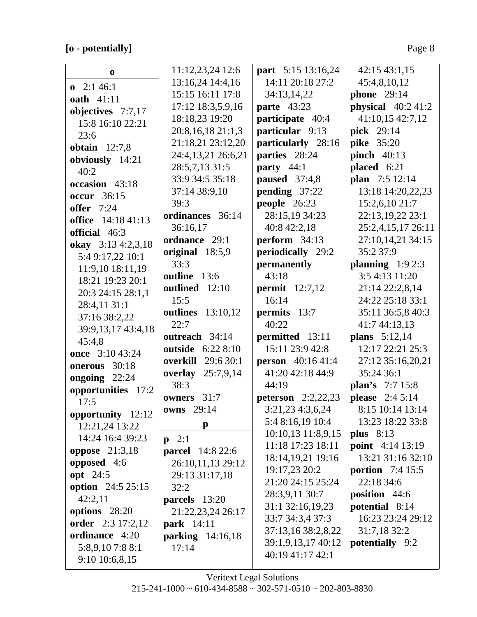# **[o - potentially]** Page 8

| $\bf{0}$                         | 11:12,23,24 12:6         | part 5:15 13:16,24          | 42:15 43:1,15           |
|----------------------------------|--------------------------|-----------------------------|-------------------------|
| $\mathbf{0}$ 2:1 46:1            | 13:16,24 14:4,16         | 14:11 20:18 27:2            | 45:4,8,10,12            |
| <b>oath</b> 41:11                | 15:15 16:11 17:8         | 34:13,14,22                 | <b>phone</b> 29:14      |
| objectives 7:7,17                | 17:12 18:3,5,9,16        | <b>parte</b> 43:23          | physical $40:241:2$     |
| 15:8 16:10 22:21                 | 18:18,23 19:20           | participate 40:4            | 41:10,15 42:7,12        |
| 23:6                             | 20:8,16,18 21:1,3        | particular 9:13             | pick 29:14              |
| obtain $12:7,8$                  | 21:18,21 23:12,20        | particularly 28:16          | <b>pike</b> 35:20       |
| obviously 14:21                  | 24:4,13,21 26:6,21       | parties 28:24               | pinch $40:13$           |
| 40:2                             | 28:5,7,13 31:5           | party $44:1$                | placed 6:21             |
| occasion 43:18                   | 33:9 34:5 35:18          | paused $37:4,8$             | plan 7:5 12:14          |
| <b>occur</b> 36:15               | 37:14 38:9,10            | pending 37:22               | 13:18 14:20,22,23       |
|                                  | 39:3                     | people 26:23                | 15:2,6,10 21:7          |
| <b>offer</b> 7:24                | ordinances 36:14         | 28:15,19 34:23              | 22:13,19,22 23:1        |
| <b>office</b> 14:18 41:13        | 36:16,17                 | 40:8 42:2,18                | 25:2,4,15,17 26:11      |
| official 46:3                    | ordnance 29:1            | perform 34:13               | 27:10,14,21 34:15       |
| okay 3:13 4:2,3,18               | original 18:5,9          | periodically 29:2           | 35:2 37:9               |
| 5:4 9:17,22 10:1                 | 33:3                     | permanently                 | planning $1:92:3$       |
| 11:9,10 18:11,19                 | outline 13:6             | 43:18                       | 3:5 4:13 11:20          |
| 18:21 19:23 20:1                 | outlined 12:10           | permit $12:7,12$            | 21:14 22:2,8,14         |
| 20:3 24:15 28:1,1                | 15:5                     | 16:14                       | 24:22 25:18 33:1        |
| 28:4,11 31:1                     | <b>outlines</b> 13:10,12 | permits 13:7                | 35:11 36:5,8 40:3       |
| 37:16 38:2,22                    | 22:7                     | 40:22                       | 41:7 44:13,13           |
| 39:9,13,17 43:4,18               | outreach 34:14           | permitted 13:11             | <b>plans</b> $5:12,14$  |
| 45:4,8                           | outside 6:22 8:10        | 15:11 23:9 42:8             | 12:17 22:21 25:3        |
| once 3:10 43:24<br>onerous 30:18 | overkill<br>29:6 30:1    | <b>person</b> 40:16 41:4    | 27:12 35:16,20,21       |
|                                  | <b>overlay</b> 25:7,9,14 | 41:20 42:18 44:9            | 35:24 36:1              |
| ongoing $22:24$                  | 38:3                     | 44:19                       | plan's 7:7 15:8         |
| opportunities 17:2               | owners 31:7              | <b>peterson</b> $2:2,22,23$ | <b>please</b> 2:4 5:14  |
| 17:5                             | owns 29:14               | 3:21,23 4:3,6,24            | 8:15 10:14 13:14        |
| opportunity 12:12                | $\mathbf{p}$             | 5:4 8:16,19 10:4            | 13:23 18:22 33:8        |
| 12:21,24 13:22                   |                          | 10:10,13 11:8,9,15          | plus $8:13$             |
| 14:24 16:4 39:23                 | $p \quad 2:1$            | 11:18 17:23 18:11           | <b>point</b> 4:14 13:19 |
| oppose $21:3,18$                 | <b>parcel</b> 14:8 22:6  | 18:14,19,21 19:16           | 13:21 31:16 32:10       |
| opposed 4:6                      | 26:10,11,13 29:12        | 19:17,23 20:2               | portion $7:415:5$       |
| <b>opt</b> 24:5                  | 29:13 31:17,18           | 21:20 24:15 25:24           | 22:18 34:6              |
| option 24:5 25:15                | 32:2                     | 28:3,9,11 30:7              | position 44:6           |
| 42:2,11                          | parcels 13:20            | 31:1 32:16,19,23            | potential 8:14          |
| options 28:20                    | 21:22,23,24 26:17        | 33:7 34:3,4 37:3            | 16:23 23:24 29:12       |
| order 2:3 17:2,12                | <b>park</b> 14:11        | 37:13,16 38:2,8,22          | 31:7,18 32:2            |
| ordinance 4:20                   | parking 14:16,18         | 39:1,9,13,17 40:12          | potentially 9:2         |
| 5:8,9,107:88:1                   | 17:14                    | 40:19 41:17 42:1            |                         |
| 9:10 10:6,8,15                   |                          |                             |                         |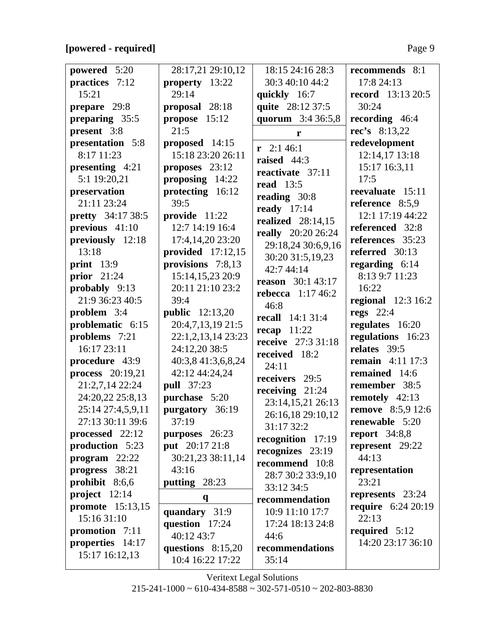### **[powered - required]** Page 9

| powered 5:20             | 28:17,21 29:10,12      | 18:15 24:16 28:3          | recommends 8:1            |
|--------------------------|------------------------|---------------------------|---------------------------|
| practices 7:12           | property 13:22         | 30:3 40:10 44:2           | 17:8 24:13                |
| 15:21                    | 29:14                  | quickly 16:7              | <b>record</b> 13:13 20:5  |
| prepare 29:8             | proposal 28:18         | quite 28:12 37:5          | 30:24                     |
| preparing 35:5           | propose 15:12          | quorum 3:4 36:5,8         | recording 46:4            |
| present 3:8              | 21:5                   | r                         | $rec's$ 8:13,22           |
| presentation 5:8         | proposed 14:15         |                           | redevelopment             |
| 8:17 11:23               | 15:18 23:20 26:11      | $r$ 2:1 46:1              | 12:14,17 13:18            |
| presenting $4:21$        | proposes $23:12$       | raised $44:3$             | 15:17 16:3,11             |
| 5:1 19:20,21             | proposing 14:22        | reactivate 37:11          | 17:5                      |
| preservation             | protecting 16:12       | <b>read</b> 13:5          | reevaluate 15:11          |
| 21:11 23:24              | 39:5                   | reading 30:8              | reference 8:5,9           |
| <b>pretty</b> 34:17 38:5 | provide $11:22$        | ready $17:14$             | 12:1 17:19 44:22          |
| previous 41:10           | 12:7 14:19 16:4        | realized $28:14,15$       | referenced 32:8           |
| previously 12:18         | 17:4,14,20 23:20       | <b>really</b> 20:20 26:24 | references 35:23          |
| 13:18                    | provided $17:12,15$    | 29:18,24 30:6,9,16        | referred 30:13            |
| print $13:9$             | provisions 7:8,13      | 30:20 31:5,19,23          | regarding $6:14$          |
| prior $21:24$            | 15:14,15,23 20:9       | 42:7 44:14                | 8:13 9:7 11:23            |
| probably 9:13            | 20:11 21:10 23:2       | <b>reason</b> 30:1 43:17  | 16:22                     |
| 21:9 36:23 40:5          | 39:4                   | rebecca $1:17\,46:2$      | <b>regional</b> 12:3 16:2 |
| problem 3:4              | <b>public</b> 12:13,20 | 46:8                      | regs $22:4$               |
| problematic 6:15         | 20:4,7,13,19 21:5      | <b>recall</b> 14:1 31:4   | regulates 16:20           |
| problems 7:21            | 22:1,2,13,14 23:23     | recap $11:22$             | regulations 16:23         |
| 16:17 23:11              | 24:12,20 38:5          | receive 27:3 31:18        | relates 39:5              |
| procedure 43:9           | 40:3,8 41:3,6,8,24     | received 18:2             | <b>remain</b> 4:11 17:3   |
| <b>process</b> 20:19,21  | 42:12 44:24,24         | 24:11                     | remained 14:6             |
| 21:2,7,14 22:24          | <b>pull</b> 37:23      | receivers 29:5            | remember 38:5             |
| 24:20,22 25:8,13         | purchase 5:20          | receiving $21:24$         | remotely 42:13            |
| 25:14 27:4,5,9,11        | purgatory 36:19        | 23:14,15,21 26:13         | <b>remove</b> 8:5,9 12:6  |
| 27:13 30:11 39:6         | 37:19                  | 26:16,18 29:10,12         | renewable 5:20            |
| processed 22:12          | purposes 26:23         | 31:17 32:2                | report $34:8,8$           |
| production 5:23          | put 20:17 21:8         | recognition 17:19         | represent 29:22           |
| $program$ 22:22          | 30:21,23 38:11,14      | recognizes 23:19          | 44:13                     |
| progress 38:21           | 43:16                  | recommend 10:8            | representation            |
| prohibit $8:6,6$         | putting 28:23          | 28:7 30:2 33:9,10         | 23:21                     |
| project $12:14$          |                        | 33:12 34:5                | represents 23:24          |
| promote 15:13,15         | q                      | recommendation            | <b>require</b> 6:24 20:19 |
| 15:16 31:10              | quandary 31:9          | 10:9 11:10 17:7           | 22:13                     |
| promotion $7:11$         | question 17:24         | 17:24 18:13 24:8          | required $5:12$           |
| properties 14:17         | 40:12 43:7             | 44:6                      | 14:20 23:17 36:10         |
| 15:17 16:12,13           | questions $8:15,20$    | recommendations           |                           |
|                          | 10:4 16:22 17:22       | 35:14                     |                           |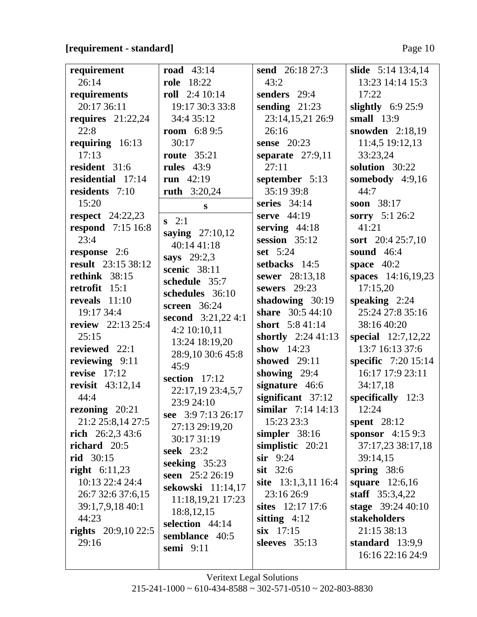### **[requirement - standard]** Page 10

| requirement                | road $43:14$                    | <b>send</b> 26:18 27:3  | slide 5:14 13:4,14         |
|----------------------------|---------------------------------|-------------------------|----------------------------|
| 26:14                      | <b>role</b> 18:22               | 43:2                    | 13:23 14:14 15:3           |
| requirements               | roll $2:410:14$                 | senders 29:4            | 17:22                      |
| 20:17 36:11                | 19:17 30:3 33:8                 | sending $21:23$         | slightly $6:925:9$         |
| requires $21:22,24$        | 34:4 35:12                      | 23:14,15,21 26:9        | small $13:9$               |
| 22:8                       | <b>room</b> $6:89:5$            | 26:16                   | snowden 2:18,19            |
| requiring 16:13            | 30:17                           | sense $20:23$           | 11:4,5 19:12,13            |
| 17:13                      | <b>route</b> 35:21              | separate $27:9,11$      | 33:23,24                   |
| resident 31:6              | rules $43:9$                    | 27:11                   | solution 30:22             |
| residential 17:14          | run $42:19$                     | september 5:13          | somebody 4:9,16            |
| residents 7:10             | <b>ruth</b> 3:20,24             | 35:19 39:8              | 44:7                       |
| 15:20                      | $\mathbf{s}$                    | series $34:14$          | soon 38:17                 |
| respect $24:22,23$         | $s \quad 2:1$                   | serve $44:19$           | sorry 5:1 26:2             |
| <b>respond</b> 7:15 16:8   | saying $27:10,12$               | serving $44:18$         | 41:21                      |
| 23:4                       | 40:14 41:18                     | session $35:12$         | sort 20:4 25:7,10          |
| response 2:6               | says $29:2,3$                   | set $5:24$              | sound 46:4                 |
| result 23:15 38:12         | scenic 38:11                    | setbacks 14:5           | space $40:2$               |
| rethink 38:15              | schedule 35:7                   | sewer 28:13,18          | spaces 14:16,19,23         |
| retrofit 15:1              | schedules 36:10                 | sewers 29:23            | 17:15,20                   |
| reveals $11:10$            | screen $36:24$                  | shadowing 30:19         | speaking $2:24$            |
| 19:17 34:4                 | second $3:21,224:1$             | <b>share</b> 30:5 44:10 | 25:24 27:8 35:16           |
| <b>review</b> 22:13 25:4   | 4:2 10:10,11                    | short 5:8 41:14         | 38:16 40:20                |
| 25:15                      | 13:24 18:19,20                  | shortly $2:2441:13$     | special 12:7,12,22         |
| reviewed $22:1$            | 28:9,10 30:6 45:8               | show $14:23$            | 13:7 16:13 37:6            |
| reviewing 9:11             | 45:9                            | showed 29:11            | <b>specific</b> 7:20 15:14 |
| revise $17:12$             | section $17:12$                 | showing 29:4            | 16:17 17:9 23:11           |
| <b>revisit</b> 43:12,14    | 22:17,19 23:4,5,7               | signature 46:6          | 34:17,18                   |
| 44:4                       | 23:9 24:10                      | significant 37:12       | specifically $12:3$        |
| rezoning 20:21             | see 3:9 7:13 26:17              | similar $7:14$ 14:13    | 12:24                      |
| 21:2 25:8,14 27:5          | 27:13 29:19,20                  | 15:23 23:3              | spent $28:12$              |
| rich $26:2,343:6$          | 30:17 31:19                     | simpler $38:16$         | <b>sponsor</b> $4:159:3$   |
| richard $20:5$             | <b>seek</b> 23:2                | simplistic $20:21$      | 37:17,23 38:17,18          |
| <b>rid</b> 30:15           | seeking $35:23$                 | $\sin$ 9:24             | 39:14,15                   |
| <b>right</b> $6:11,23$     | seen 25:2 26:19                 | $s$ it 32:6             | spring $38:6$              |
| 10:13 22:4 24:4            | sekowski 11:14,17               | site $13:1,3,11$ 16:4   | square 12:6,16             |
| 26:7 32:6 37:6,15          | 11:18,19,21 17:23               | 23:16 26:9              | staff 35:3,4,22            |
| 39:1,7,9,18 40:1           |                                 | sites 12:17 17:6        | stage $39:2440:10$         |
| 44:23                      | 18:8, 12, 15<br>selection 44:14 | sitting $4:12$          | stakeholders               |
| <b>rights</b> 20:9,10 22:5 | semblance 40:5                  | $six$ 17:15             | 21:15 38:13                |
| 29:16                      |                                 | sleeves $35:13$         | standard $13:9,9$          |
|                            | semi $9:11$                     |                         | 16:16 22:16 24:9           |
|                            |                                 |                         |                            |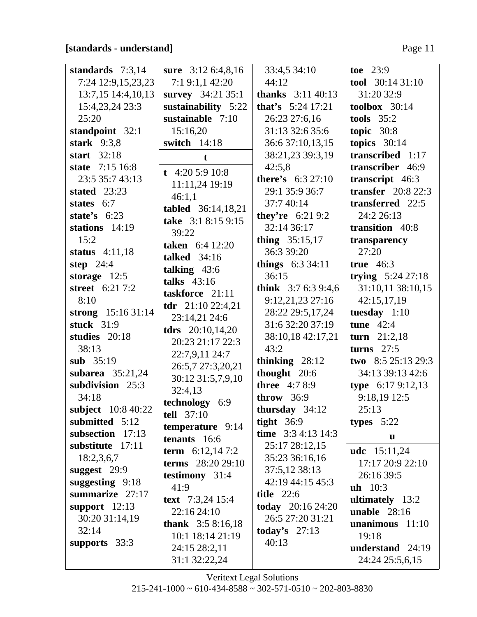### **[standards - understand]** Page 11

| standards $7:3,14$  | sure 3:12 6:4,8,16                         | 33:4,5 34:10                | toe $23:9$                |
|---------------------|--------------------------------------------|-----------------------------|---------------------------|
| 7:24 12:9,15,23,23  | 7:19:1,142:20                              | 44:12                       | tool $30:1431:10$         |
| 13:7,15 14:4,10,13  | survey 34:21 35:1                          | <b>thanks</b> $3:11\,40:13$ | 31:20 32:9                |
| 15:4,23,24 23:3     | sustainability 5:22                        | <b>that's</b> $5:24$ 17:21  | toolbox $30:14$           |
| 25:20               | sustainable 7:10                           | 26:23 27:6,16               | tools $35:2$              |
| standpoint 32:1     | 15:16,20                                   | 31:13 32:6 35:6             | topic $30:8$              |
| stark $9:3,8$       | switch 14:18                               | 36:6 37:10,13,15            | topics $30:14$            |
| start $32:18$       | t                                          | 38:21,23 39:3,19            | transcribed 1:17          |
| state 7:15 16:8     |                                            | 42:5,8                      | transcriber 46:9          |
| 23:5 35:7 43:13     | t 4:20 5:9 10:8                            | <b>there's</b> 6:3 27:10    | transcript 46:3           |
| stated 23:23        | 11:11,24 19:19                             | 29:1 35:9 36:7              | <b>transfer</b> 20:8 22:3 |
| states 6:7          | 46:1,1                                     | 37:7 40:14                  | transferred 22:5          |
| state's $6:23$      | tabled 36:14,18,21                         | <b>they're</b> $6:219:2$    | 24:2 26:13                |
| stations 14:19      | take 3:1 8:15 9:15<br>39:22                | 32:14 36:17                 | transition 40:8           |
| 15:2                | <b>taken</b> 6:4 12:20                     | thing $35:15,17$            | transparency              |
| status $4:11,18$    | <b>talked</b> 34:16                        | 36:3 39:20                  | 27:20                     |
| step $24:4$         |                                            | things $6:334:11$           | true $46:3$               |
| storage $12:5$      | talking $43:6$<br>talks $43:16$            | 36:15                       | trying $5:24\,27:18$      |
| street 6:21 7:2     | taskforce 21:11                            | think $3:76:39:4,6$         | 31:10,11 38:10,15         |
| 8:10                |                                            | 9:12,21,23 27:16            | 42:15,17,19               |
| strong $15:1631:14$ | <b>tdr</b> $21:1022:4,21$<br>23:14,21 24:6 | 28:22 29:5,17,24            | tuesday $1:10$            |
| stuck $31:9$        | <b>tdrs</b> $20:10,14,20$                  | 31:6 32:20 37:19            | tune $42:4$               |
| studies 20:18       | 20:23 21:17 22:3                           | 38:10,18 42:17,21           | turn $21:2,18$            |
| 38:13               | 22:7,9,11 24:7                             | 43:2                        | turns $27:5$              |
| sub 35:19           | 26:5,7 27:3,20,21                          | thinking $28:12$            | two 8:5 25:13 29:3        |
| subarea $35:21,24$  | 30:12 31:5,7,9,10                          | thought 20:6                | 34:13 39:13 42:6          |
| subdivision 25:3    | 32:4,13                                    | <b>three</b> 4:78:9         | type 6:17 9:12,13         |
| 34:18               | technology 6:9                             | throw 36:9                  | 9:18,19 12:5              |
| subject 10:8 40:22  | tell 37:10                                 | thursday 34:12              | 25:13                     |
| submitted 5:12      | temperature 9:14                           | tight $36:9$                | types $5:22$              |
| subsection 17:13    | tenants 16:6                               | time $3:34:1314:3$          | $\mathbf{u}$              |
| substitute 17:11    | <b>term</b> $6:12,147:2$                   | 25:17 28:12,15              | <b>udc</b> 15:11,24       |
| 18:2,3,6,7          | <b>terms</b> 28:20 29:10                   | 35:23 36:16,16              | 17:17 20:9 22:10          |
| suggest $29:9$      | testimony 31:4                             | 37:5,12 38:13               | 26:16 39:5                |
| suggesting $9:18$   | 41:9                                       | 42:19 44:15 45:3            | $uh$ 10:3                 |
| summarize $27:17$   | text 7:3,24 15:4                           | <b>title</b> 22:6           | ultimately 13:2           |
| support $12:13$     | 22:16 24:10                                | today 20:16 24:20           | unable $28:16$            |
| 30:20 31:14,19      | thank $3:58:16,18$                         | 26:5 27:20 31:21            | unanimous $11:10$         |
| 32:14               | 10:1 18:14 21:19                           | today's $27:13$             | 19:18                     |
| supports 33:3       | 24:15 28:2,11                              | 40:13                       | understand 24:19          |
|                     | 31:1 32:22,24                              |                             | 24:24 25:5,6,15           |
|                     |                                            |                             |                           |

Veritext Legal Solutions  $215 - 241 - 1000 \approx 610 - 434 - 8588 \approx 302 - 571 - 0510 \approx 202 - 803 - 8830$